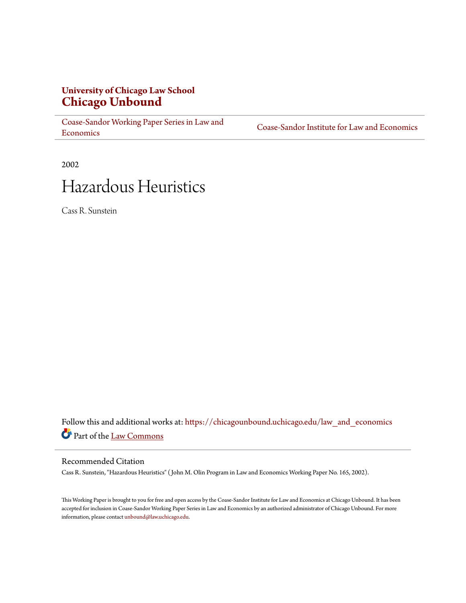# **University of Chicago Law School [Chicago Unbound](https://chicagounbound.uchicago.edu?utm_source=chicagounbound.uchicago.edu%2Flaw_and_economics%2F228&utm_medium=PDF&utm_campaign=PDFCoverPages)**

[Coase-Sandor Working Paper Series in Law and](https://chicagounbound.uchicago.edu/law_and_economics?utm_source=chicagounbound.uchicago.edu%2Flaw_and_economics%2F228&utm_medium=PDF&utm_campaign=PDFCoverPages) [Economics](https://chicagounbound.uchicago.edu/law_and_economics?utm_source=chicagounbound.uchicago.edu%2Flaw_and_economics%2F228&utm_medium=PDF&utm_campaign=PDFCoverPages)

[Coase-Sandor Institute for Law and Economics](https://chicagounbound.uchicago.edu/coase_sandor_institute?utm_source=chicagounbound.uchicago.edu%2Flaw_and_economics%2F228&utm_medium=PDF&utm_campaign=PDFCoverPages)

2002

# Hazardous Heuristics

Cass R. Sunstein

Follow this and additional works at: [https://chicagounbound.uchicago.edu/law\\_and\\_economics](https://chicagounbound.uchicago.edu/law_and_economics?utm_source=chicagounbound.uchicago.edu%2Flaw_and_economics%2F228&utm_medium=PDF&utm_campaign=PDFCoverPages) Part of the [Law Commons](http://network.bepress.com/hgg/discipline/578?utm_source=chicagounbound.uchicago.edu%2Flaw_and_economics%2F228&utm_medium=PDF&utm_campaign=PDFCoverPages)

#### Recommended Citation

Cass R. Sunstein, "Hazardous Heuristics" ( John M. Olin Program in Law and Economics Working Paper No. 165, 2002).

This Working Paper is brought to you for free and open access by the Coase-Sandor Institute for Law and Economics at Chicago Unbound. It has been accepted for inclusion in Coase-Sandor Working Paper Series in Law and Economics by an authorized administrator of Chicago Unbound. For more information, please contact [unbound@law.uchicago.edu.](mailto:unbound@law.uchicago.edu)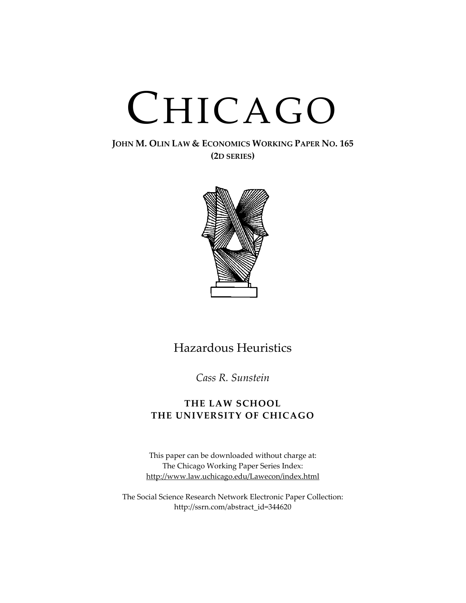# CHICAGO

### **JOHN M. OLIN LAW & ECONOMICS WORKING PAPER NO. 165 (2D SERIES)**



# Hazardous Heuristics

*Cass R. Sunstein*

# **THE LAW SCHOOL THE UNIVERSITY OF CHICAGO**

This paper can be downloaded without charge at: The Chicago Working Paper Series Index: [http://www.law.uchicago.edu/Lawecon/index.html](http://www.law.uchicago.edu/Publications/Working/index.html)

The Social Science Research Network Electronic Paper Collection: [http://ssrn.com/abstract\\_id=3](http://papers.ssrn.com/sol3/search.taf)44620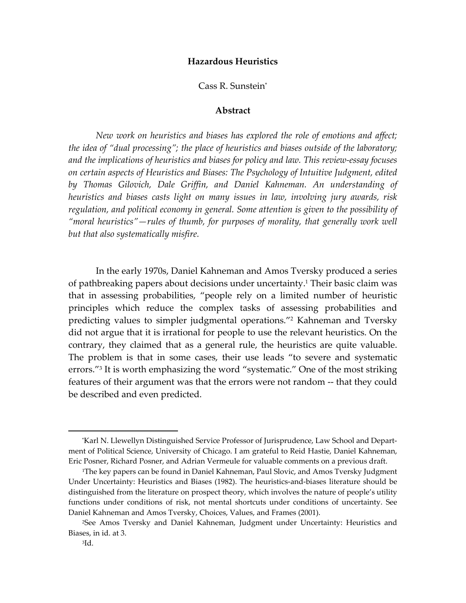#### **Hazardous Heuristics**

Cass R. Sunstei[n\\*](#page-2-0)

#### **Abstract**

*New work on heuristics and biases has explored the role of emotions and affect; the idea of "dual processing"; the place of heuristics and biases outside of the laboratory; and the implications of heuristics and biases for policy and law. This review-essay focuses on certain aspects of Heuristics and Biases: The Psychology of Intuitive Judgment, edited by Thomas Gilovich, Dale Griffin, and Daniel Kahneman. An understanding of heuristics and biases casts light on many issues in law, involving jury awards, risk regulation, and political economy in general. Some attention is given to the possibility of "moral heuristics"—rules of thumb, for purposes of morality, that generally work well but that also systematically misfire.* 

In the early 1970s, Daniel Kahneman and Amos Tversky produced a series of pathbreaking papers about decisions under uncertainty.<sup>1</sup> Their basic claim was that in assessing probabilities, "people rely on a limited number of heuristic principles which reduce the complex tasks of assessing probabilities and predicting values to simpler judgmental operations."[2](#page-2-2) Kahneman and Tversky did not argue that it is irrational for people to use the relevant heuristics. On the contrary, they claimed that as a general rule, the heuristics are quite valuable. The problem is that in some cases, their use leads "to severe and systematic errors."[3](#page-2-3) It is worth emphasizing the word "systematic." One of the most striking features of their argument was that the errors were not random -- that they could be described and even predicted.

<span id="page-2-0"></span><sup>\*</sup> Karl N. Llewellyn Distinguished Service Professor of Jurisprudence, Law School and Department of Political Science, University of Chicago. I am grateful to Reid Hastie, Daniel Kahneman, Eric Posner, Richard Posner, and Adrian Vermeule for valuable comments on a previous draft.

<span id="page-2-1"></span><sup>1</sup>The key papers can be found in Daniel Kahneman, Paul Slovic, and Amos Tversky Judgment Under Uncertainty: Heuristics and Biases (1982). The heuristics-and-biases literature should be distinguished from the literature on prospect theory, which involves the nature of people's utility functions under conditions of risk, not mental shortcuts under conditions of uncertainty. See Daniel Kahneman and Amos Tversky, Choices, Values, and Frames (2001).

<span id="page-2-2"></span><sup>2</sup>See Amos Tversky and Daniel Kahneman, Judgment under Uncertainty: Heuristics and Biases, in id. at 3.

<span id="page-2-3"></span><sup>3</sup>Id.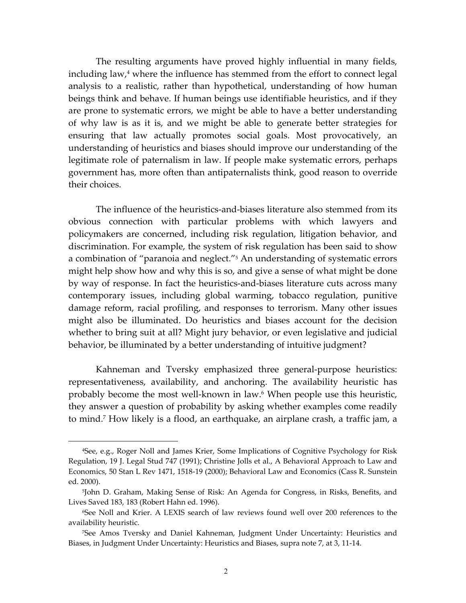The resulting arguments have proved highly influential in many fields, including law,<sup>4</sup> where the influence has stemmed from the effort to connect legal analysis to a realistic, rather than hypothetical, understanding of how human beings think and behave. If human beings use identifiable heuristics, and if they are prone to systematic errors, we might be able to have a better understanding of why law is as it is, and we might be able to generate better strategies for ensuring that law actually promotes social goals. Most provocatively, an understanding of heuristics and biases should improve our understanding of the legitimate role of paternalism in law. If people make systematic errors, perhaps government has, more often than antipaternalists think, good reason to override their choices.

The influence of the heuristics-and-biases literature also stemmed from its obvious connection with particular problems with which lawyers and policymakers are concerned, including risk regulation, litigation behavior, and discrimination. For example, the system of risk regulation has been said to show a combination of "paranoia and neglect."<sup>5</sup> An understanding of systematic errors might help show how and why this is so, and give a sense of what might be done by way of response. In fact the heuristics-and-biases literature cuts across many contemporary issues, including global warming, tobacco regulation, punitive damage reform, racial profiling, and responses to terrorism. Many other issues might also be illuminated. Do heuristics and biases account for the decision whether to bring suit at all? Might jury behavior, or even legislative and judicial behavior, be illuminated by a better understanding of intuitive judgment?

Kahneman and Tversky emphasized three general-purpose heuristics: representativeness, availability, and anchoring. The availability heuristic has probably become the most well-known in law.<sup>6</sup> When people use this heuristic, they answer a question of probability by asking whether examples come readily to mind.[7](#page-3-3) How likely is a flood, an earthquake, an airplane crash, a traffic jam, a

<span id="page-3-0"></span><sup>4</sup>See, e.g., Roger Noll and James Krier, Some Implications of Cognitive Psychology for Risk Regulation, 19 J. Legal Stud 747 (1991); Christine Jolls et al., A Behavioral Approach to Law and Economics, 50 Stan L Rev 1471, 1518-19 (2000); Behavioral Law and Economics (Cass R. Sunstein ed. 2000).

<span id="page-3-1"></span><sup>5</sup>John D. Graham, Making Sense of Risk: An Agenda for Congress, in Risks, Benefits, and Lives Saved 183, 183 (Robert Hahn ed. 1996).

<span id="page-3-2"></span><sup>6</sup>See Noll and Krier. A LEXIS search of law reviews found well over 200 references to the availability heuristic.

<span id="page-3-3"></span><sup>7</sup>See Amos Tversky and Daniel Kahneman, Judgment Under Uncertainty: Heuristics and Biases, in Judgment Under Uncertainty: Heuristics and Biases, supra note 7, at 3, 11-14.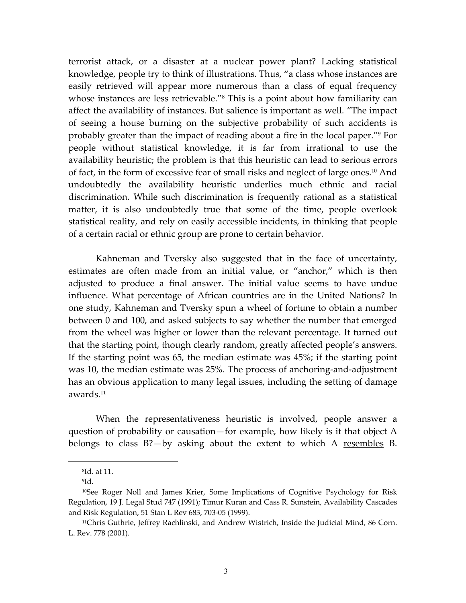terrorist attack, or a disaster at a nuclear power plant? Lacking statistical knowledge, people try to think of illustrations. Thus, "a class whose instances are easily retrieved will appear more numerous than a class of equal frequency whose instances are less retrievable.<sup>"8</sup> This is a point about how familiarity can affect the availability of instances. But salience is important as well. "The impact of seeing a house burning on the subjective probability of such accidents is probably greater than the impact of reading about a fire in the local paper."[9](#page-4-1) For people without statistical knowledge, it is far from irrational to use the availability heuristic; the problem is that this heuristic can lead to serious errors of fact, in the form of excessive fear of small risks and neglect of large ones[.10](#page-4-2) And undoubtedly the availability heuristic underlies much ethnic and racial discrimination. While such discrimination is frequently rational as a statistical matter, it is also undoubtedly true that some of the time, people overlook statistical reality, and rely on easily accessible incidents, in thinking that people of a certain racial or ethnic group are prone to certain behavior.

Kahneman and Tversky also suggested that in the face of uncertainty, estimates are often made from an initial value, or "anchor," which is then adjusted to produce a final answer. The initial value seems to have undue influence. What percentage of African countries are in the United Nations? In one study, Kahneman and Tversky spun a wheel of fortune to obtain a number between 0 and 100, and asked subjects to say whether the number that emerged from the wheel was higher or lower than the relevant percentage. It turned out that the starting point, though clearly random, greatly affected people's answers. If the starting point was 65, the median estimate was 45%; if the starting point was 10, the median estimate was 25%. The process of anchoring-and-adjustment has an obvious application to many legal issues, including the setting of damage awards[.11](#page-4-3)

When the representativeness heuristic is involved, people answer a question of probability or causation—for example, how likely is it that object A belongs to class B?-by asking about the extent to which A resembles B.

<span id="page-4-0"></span><sup>8</sup>Id. at 11.

<span id="page-4-2"></span><span id="page-4-1"></span><sup>9</sup>Id.

<sup>10</sup>See Roger Noll and James Krier, Some Implications of Cognitive Psychology for Risk Regulation, 19 J. Legal Stud 747 (1991); Timur Kuran and Cass R. Sunstein, Availability Cascades and Risk Regulation, 51 Stan L Rev 683, 703-05 (1999).

<span id="page-4-3"></span><sup>11</sup>Chris Guthrie, Jeffrey Rachlinski, and Andrew Wistrich, Inside the Judicial Mind, 86 Corn. L. Rev. 778 (2001).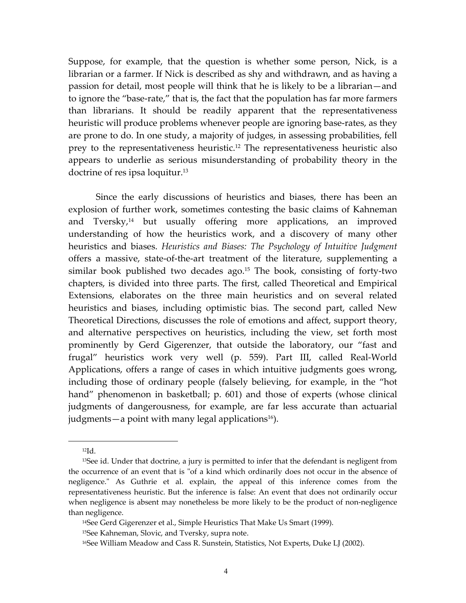Suppose, for example, that the question is whether some person, Nick, is a librarian or a farmer. If Nick is described as shy and withdrawn, and as having a passion for detail, most people will think that he is likely to be a librarian—and to ignore the "base-rate," that is, the fact that the population has far more farmers than librarians. It should be readily apparent that the representativeness heuristic will produce problems whenever people are ignoring base-rates, as they are prone to do. In one study, a majority of judges, in assessing probabilities, fell prey to the representativeness heuristic[.12](#page-5-0) The representativeness heuristic also appears to underlie as serious misunderstanding of probability theory in the doctrine of res ipsa loquitur.[13](#page-5-1) 

Since the early discussions of heuristics and biases, there has been an explosion of further work, sometimes contesting the basic claims of Kahneman and Tversky,<sup>14</sup> but usually offering more applications, an improved understanding of how the heuristics work, and a discovery of many other heuristics and biases. *Heuristics and Biases: The Psychology of Intuitive Judgment* offers a massive, state-of-the-art treatment of the literature, supplementing a similar book published two decades ago.<sup>15</sup> The book, consisting of forty-two chapters, is divided into three parts. The first, called Theoretical and Empirical Extensions, elaborates on the three main heuristics and on several related heuristics and biases, including optimistic bias. The second part, called New Theoretical Directions, discusses the role of emotions and affect, support theory, and alternative perspectives on heuristics, including the view, set forth most prominently by Gerd Gigerenzer, that outside the laboratory, our "fast and frugal" heuristics work very well (p. 559). Part III, called Real-World Applications, offers a range of cases in which intuitive judgments goes wrong, including those of ordinary people (falsely believing, for example, in the "hot hand" phenomenon in basketball; p. 601) and those of experts (whose clinical judgments of dangerousness, for example, are far less accurate than actuarial judgments—a point with many legal applications<sup>16</sup>).

<span id="page-5-1"></span><span id="page-5-0"></span> $12$ Id.

 $13$ See id. Under that doctrine, a jury is permitted to infer that the defendant is negligent from the occurrence of an event that is "of a kind which ordinarily does not occur in the absence of negligence." As Guthrie et al. explain, the appeal of this inference comes from the representativeness heuristic. But the inference is false: An event that does not ordinarily occur when negligence is absent may nonetheless be more likely to be the product of non-negligence than negligence.

<span id="page-5-2"></span><sup>&</sup>lt;sup>14</sup>See Gerd Gigerenzer et al., Simple Heuristics That Make Us Smart (1999).

<span id="page-5-3"></span><sup>15</sup>See Kahneman, Slovic, and Tversky, supra note.

<span id="page-5-4"></span><sup>16</sup>See William Meadow and Cass R. Sunstein, Statistics, Not Experts, Duke LJ (2002).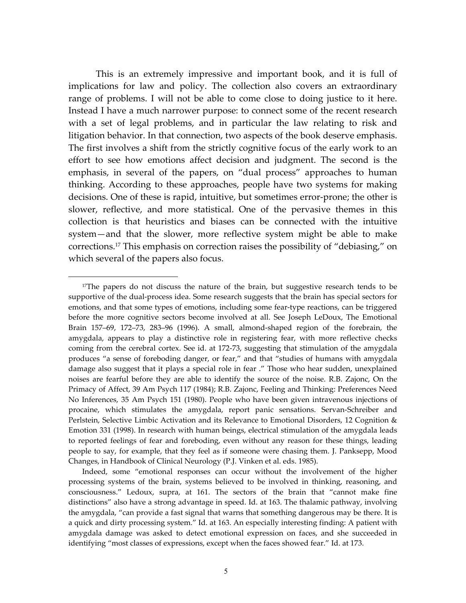This is an extremely impressive and important book, and it is full of implications for law and policy. The collection also covers an extraordinary range of problems. I will not be able to come close to doing justice to it here. Instead I have a much narrower purpose: to connect some of the recent research with a set of legal problems, and in particular the law relating to risk and litigation behavior. In that connection, two aspects of the book deserve emphasis. The first involves a shift from the strictly cognitive focus of the early work to an effort to see how emotions affect decision and judgment. The second is the emphasis, in several of the papers, on "dual process" approaches to human thinking. According to these approaches, people have two systems for making decisions. One of these is rapid, intuitive, but sometimes error-prone; the other is slower, reflective, and more statistical. One of the pervasive themes in this collection is that heuristics and biases can be connected with the intuitive system—and that the slower, more reflective system might be able to make corrections.[17](#page-6-0) This emphasis on correction raises the possibility of "debiasing," on which several of the papers also focus.

1

<span id="page-6-0"></span><sup>&</sup>lt;sup>17</sup>The papers do not discuss the nature of the brain, but suggestive research tends to be supportive of the dual-process idea. Some research suggests that the brain has special sectors for emotions, and that some types of emotions, including some fear-type reactions, can be triggered before the more cognitive sectors become involved at all. See Joseph LeDoux, The Emotional Brain 157–69, 172–73, 283–96 (1996). A small, almond-shaped region of the forebrain, the amygdala, appears to play a distinctive role in registering fear, with more reflective checks coming from the cerebral cortex. See id. at 172-73, suggesting that stimulation of the amygdala produces "a sense of foreboding danger, or fear," and that "studies of humans with amygdala damage also suggest that it plays a special role in fear ." Those who hear sudden, unexplained noises are fearful before they are able to identify the source of the noise. R.B. Zajonc, On the Primacy of Affect, 39 Am Psych 117 (1984); R.B. Zajonc, Feeling and Thinking: Preferences Need No Inferences, 35 Am Psych 151 (1980). People who have been given intravenous injections of procaine, which stimulates the amygdala, report panic sensations. Servan-Schreiber and Perlstein, Selective Limbic Activation and its Relevance to Emotional Disorders, 12 Cognition & Emotion 331 (1998). In research with human beings, electrical stimulation of the amygdala leads to reported feelings of fear and foreboding, even without any reason for these things, leading people to say, for example, that they feel as if someone were chasing them. J. Panksepp, Mood Changes, in Handbook of Clinical Neurology (P.J. Vinken et al. eds. 1985).

Indeed, some "emotional responses can occur without the involvement of the higher processing systems of the brain, systems believed to be involved in thinking, reasoning, and consciousness." Ledoux, supra, at 161. The sectors of the brain that "cannot make fine distinctions" also have a strong advantage in speed. Id. at 163. The thalamic pathway, involving the amygdala, "can provide a fast signal that warns that something dangerous may be there. It is a quick and dirty processing system." Id. at 163. An especially interesting finding: A patient with amygdala damage was asked to detect emotional expression on faces, and she succeeded in identifying "most classes of expressions, except when the faces showed fear." Id. at 173.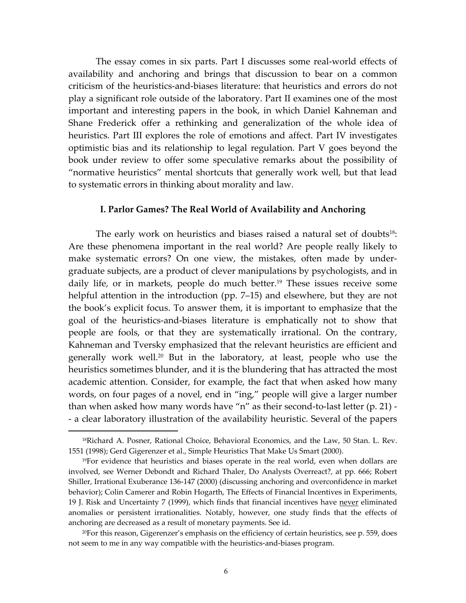The essay comes in six parts. Part I discusses some real-world effects of availability and anchoring and brings that discussion to bear on a common criticism of the heuristics-and-biases literature: that heuristics and errors do not play a significant role outside of the laboratory. Part II examines one of the most important and interesting papers in the book, in which Daniel Kahneman and Shane Frederick offer a rethinking and generalization of the whole idea of heuristics. Part III explores the role of emotions and affect. Part IV investigates optimistic bias and its relationship to legal regulation. Part V goes beyond the book under review to offer some speculative remarks about the possibility of "normative heuristics" mental shortcuts that generally work well, but that lead to systematic errors in thinking about morality and law.

#### **I. Parlor Games? The Real World of Availability and Anchoring**

The early work on heuristics and biases raised a natural set of doubts<sup>18</sup>: Are these phenomena important in the real world? Are people really likely to make systematic errors? On one view, the mistakes, often made by undergraduate subjects, are a product of clever manipulations by psychologists, and in daily life, or in markets, people do much better. [19](#page-7-1) These issues receive some helpful attention in the introduction (pp. 7–15) and elsewhere, but they are not the book's explicit focus. To answer them, it is important to emphasize that the goal of the heuristics-and-biases literature is emphatically not to show that people are fools, or that they are systematically irrational. On the contrary, Kahneman and Tversky emphasized that the relevant heuristics are efficient and generally work well.<sup>20</sup> But in the laboratory, at least, people who use the heuristics sometimes blunder, and it is the blundering that has attracted the most academic attention. Consider, for example, the fact that when asked how many words, on four pages of a novel, end in "ing," people will give a larger number than when asked how many words have "n" as their second-to-last letter (p. 21) - - a clear laboratory illustration of the availability heuristic. Several of the papers

<span id="page-7-0"></span><sup>18</sup>Richard A. Posner, Rational Choice, Behavioral Economics, and the Law, 50 Stan. L. Rev. 1551 (1998); Gerd Gigerenzer et al., Simple Heuristics That Make Us Smart (2000).

<span id="page-7-1"></span><sup>19</sup>For evidence that heuristics and biases operate in the real world, even when dollars are involved, see Werner Debondt and Richard Thaler, Do Analysts Overreact?, at pp. 666; Robert Shiller, Irrational Exuberance 136-147 (2000) (discussing anchoring and overconfidence in market behavior); Colin Camerer and Robin Hogarth, The Effects of Financial Incentives in Experiments, 19 J. Risk and Uncertainty 7 (1999), which finds that financial incentives have never eliminated anomalies or persistent irrationalities. Notably, however, one study finds that the effects of anchoring are decreased as a result of monetary payments. See id.

<span id="page-7-2"></span><sup>20</sup>For this reason, Gigerenzer's emphasis on the efficiency of certain heuristics, see p. 559, does not seem to me in any way compatible with the heuristics-and-biases program.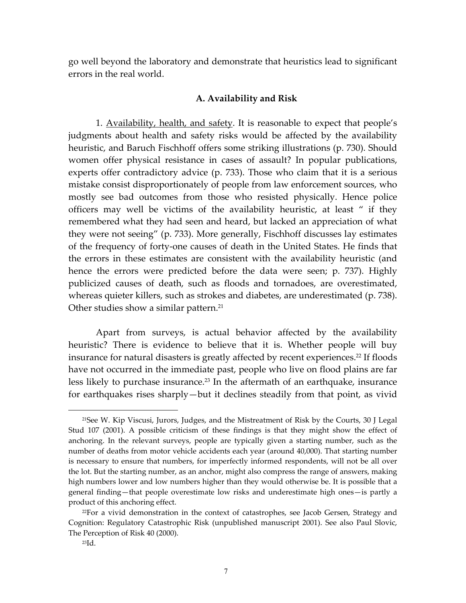go well beyond the laboratory and demonstrate that heuristics lead to significant errors in the real world.

#### **A. Availability and Risk**

1. Availability, health, and safety. It is reasonable to expect that people's judgments about health and safety risks would be affected by the availability heuristic, and Baruch Fischhoff offers some striking illustrations (p. 730). Should women offer physical resistance in cases of assault? In popular publications, experts offer contradictory advice (p. 733). Those who claim that it is a serious mistake consist disproportionately of people from law enforcement sources, who mostly see bad outcomes from those who resisted physically. Hence police officers may well be victims of the availability heuristic, at least " if they remembered what they had seen and heard, but lacked an appreciation of what they were not seeing" (p. 733). More generally, Fischhoff discusses lay estimates of the frequency of forty-one causes of death in the United States. He finds that the errors in these estimates are consistent with the availability heuristic (and hence the errors were predicted before the data were seen; p. 737). Highly publicized causes of death, such as floods and tornadoes, are overestimated, whereas quieter killers, such as strokes and diabetes, are underestimated (p. 738). Other studies show a similar pattern.<sup>21</sup>

Apart from surveys, is actual behavior affected by the availability heuristic? There is evidence to believe that it is. Whether people will buy insurance for natural disasters is greatly affected by recent experiences.<sup>22</sup> If floods have not occurred in the immediate past, people who live on flood plains are far less likely to purchase insurance.<sup>23</sup> In the aftermath of an earthquake, insurance for earthquakes rises sharply—but it declines steadily from that point, as vivid

<span id="page-8-0"></span><sup>21</sup>See W. Kip Viscusi, Jurors, Judges, and the Mistreatment of Risk by the Courts, 30 J Legal Stud 107 (2001). A possible criticism of these findings is that they might show the effect of anchoring. In the relevant surveys, people are typically given a starting number, such as the number of deaths from motor vehicle accidents each year (around 40,000). That starting number is necessary to ensure that numbers, for imperfectly informed respondents, will not be all over the lot. But the starting number, as an anchor, might also compress the range of answers, making high numbers lower and low numbers higher than they would otherwise be. It is possible that a general finding—that people overestimate low risks and underestimate high ones—is partly a product of this anchoring effect.

<span id="page-8-1"></span> $22$ For a vivid demonstration in the context of catastrophes, see Jacob Gersen, Strategy and Cognition: Regulatory Catastrophic Risk (unpublished manuscript 2001). See also Paul Slovic, The Perception of Risk 40 (2000).

<span id="page-8-2"></span><sup>23</sup>Id.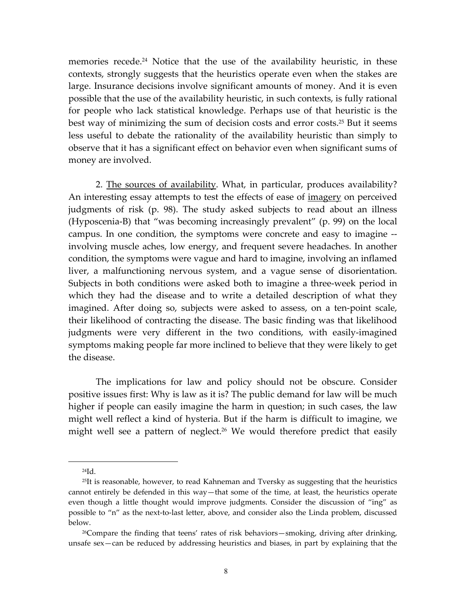<span id="page-9-2"></span>memories recede.<sup>24</sup> Notice that the use of the availability heuristic, in these contexts, strongly suggests that the heuristics operate even when the stakes are large. Insurance decisions involve significant amounts of money. And it is even possible that the use of the availability heuristic, in such contexts, is fully rational for people who lack statistical knowledge. Perhaps use of that heuristic is the best way of minimizing the sum of decision costs and error costs.<sup>25</sup> But it seems less useful to debate the rationality of the availability heuristic than simply to observe that it has a significant effect on behavior even when significant sums of money are involved.

2. The sources of availability. What, in particular, produces availability? An interesting essay attempts to test the effects of ease of imagery on perceived judgments of risk (p. 98). The study asked subjects to read about an illness (Hyposcenia-B) that "was becoming increasingly prevalent" (p. 99) on the local campus. In one condition, the symptoms were concrete and easy to imagine - involving muscle aches, low energy, and frequent severe headaches. In another condition, the symptoms were vague and hard to imagine, involving an inflamed liver, a malfunctioning nervous system, and a vague sense of disorientation. Subjects in both conditions were asked both to imagine a three-week period in which they had the disease and to write a detailed description of what they imagined. After doing so, subjects were asked to assess, on a ten-point scale, their likelihood of contracting the disease. The basic finding was that likelihood judgments were very different in the two conditions, with easily-imagined symptoms making people far more inclined to believe that they were likely to get the disease.

The implications for law and policy should not be obscure. Consider positive issues first: Why is law as it is? The public demand for law will be much higher if people can easily imagine the harm in question; in such cases, the law might well reflect a kind of hysteria. But if the harm is difficult to imagine, we might well see a pattern of neglect.<sup>26</sup> We would therefore predict that easily

<span id="page-9-1"></span><span id="page-9-0"></span><sup>24</sup>Id.

<sup>25</sup>It is reasonable, however, to read Kahneman and Tversky as suggesting that the heuristics cannot entirely be defended in this way—that some of the time, at least, the heuristics operate even though a little thought would improve judgments. Consider the discussion of "ing" as possible to "n" as the next-to-last letter, above, and consider also the Linda problem, discussed below.

 $26$ Compare the finding that teens' rates of risk behaviors—smoking, driving after drinking, unsafe sex—can be reduced by addressing heuristics and biases, in part by explaining that the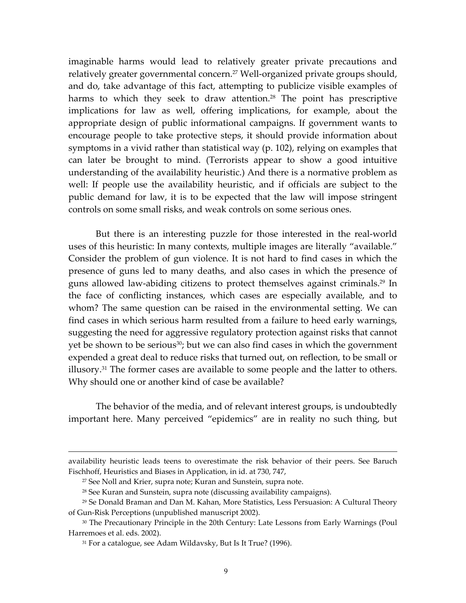imaginable harms would lead to relatively greater private precautions and relatively greater governmental concern.<sup>27</sup> Well-organized private groups should, and do, take advantage of this fact, attempting to publicize visible examples of harms to which they seek to draw attention.<sup>28</sup> The point has prescriptive implications for law as well, offering implications, for example, about the appropriate design of public informational campaigns. If government wants to encourage people to take protective steps, it should provide information about symptoms in a vivid rather than statistical way (p. 102), relying on examples that can later be brought to mind. (Terrorists appear to show a good intuitive understanding of the availability heuristic.) And there is a normative problem as well: If people use the availability heuristic, and if officials are subject to the public demand for law, it is to be expected that the law will impose stringent controls on some small risks, and weak controls on some serious ones.

But there is an interesting puzzle for those interested in the real-world uses of this heuristic: In many contexts, multiple images are literally "available." Consider the problem of gun violence. It is not hard to find cases in which the presence of guns led to many deaths, and also cases in which the presence of guns allowed law-abiding citizens to protect themselves against criminals.<sup>29</sup> In the face of conflicting instances, which cases are especially available, and to whom? The same question can be raised in the environmental setting. We can find cases in which serious harm resulted from a failure to heed early warnings, suggesting the need for aggressive regulatory protection against risks that cannot yet be shown to be serious<sup>30</sup>; but we can also find cases in which the government expended a great deal to reduce risks that turned out, on reflection, to be small or illusory.<sup>31</sup> The former cases are available to some people and the latter to others. Why should one or another kind of case be available?

The behavior of the media, and of relevant interest groups, is undoubtedly important here. Many perceived "epidemics" are in reality no such thing, but

availability heuristic leads teens to overestimate the risk behavior of their peers. See Baruch Fischhoff, Heuristics and Biases in Application, in id. at 730, 747,

<span id="page-10-0"></span><sup>&</sup>lt;sup>27</sup> See Noll and Krier, supra note; Kuran and Sunstein, supra note.

<span id="page-10-2"></span><span id="page-10-1"></span><sup>28</sup> See Kuran and Sunstein, supra note (discussing availability campaigns).

<sup>&</sup>lt;sup>29</sup> Se Donald Braman and Dan M. Kahan, More Statistics, Less Persuasion: A Cultural Theory of Gun-Risk Perceptions (unpublished manuscript 2002).

<span id="page-10-3"></span><sup>30</sup> The Precautionary Principle in the 20th Century: Late Lessons from Early Warnings (Poul Harremoes et al. eds. 2002).

<span id="page-10-4"></span><sup>&</sup>lt;sup>31</sup> For a catalogue, see Adam Wildavsky, But Is It True? (1996).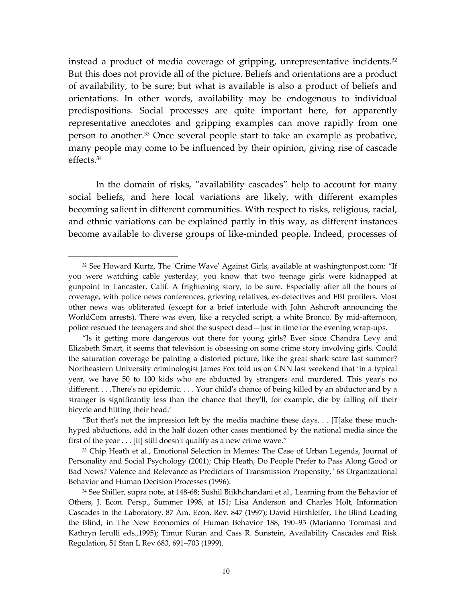instead a product of media coverage of gripping, unrepresentative incidents.<sup>[32](#page-11-0)</sup> But this does not provide all of the picture. Beliefs and orientations are a product of availability, to be sure; but what is available is also a product of beliefs and orientations. In other words, availability may be endogenous to individual predispositions. Social processes are quite important here, for apparently representative anecdotes and gripping examples can move rapidly from one person to another.[33](#page-11-1) Once several people start to take an example as probative, many people may come to be influenced by their opinion, giving rise of cascade effects.[34](#page-11-2) 

In the domain of risks, "availability cascades" help to account for many social beliefs, and here local variations are likely, with different examples becoming salient in different communities. With respect to risks, religious, racial, and ethnic variations can be explained partly in this way, as different instances become available to diverse groups of like-minded people. Indeed, processes of

<span id="page-11-0"></span><sup>32</sup> See Howard Kurtz, The 'Crime Wave' Against Girls, available at washingtonpost.com: "If you were watching cable yesterday, you know that two teenage girls were kidnapped at gunpoint in Lancaster, Calif. A frightening story, to be sure. Especially after all the hours of coverage, with police news conferences, grieving relatives, ex-detectives and FBI profilers. Most other news was obliterated (except for a brief interlude with John Ashcroft announcing the WorldCom arrests). There was even, like a recycled script, a white Bronco. By mid-afternoon, police rescued the teenagers and shot the suspect dead—just in time for the evening wrap-ups.

<sup>&</sup>quot;Is it getting more dangerous out there for young girls? Ever since Chandra Levy and Elizabeth Smart, it seems that television is obsessing on some crime story involving girls. Could the saturation coverage be painting a distorted picture, like the great shark scare last summer? Northeastern University criminologist James Fox told us on CNN last weekend that 'in a typical year, we have 50 to 100 kids who are abducted by strangers and murdered. This year's no different. . . .There's no epidemic. . . . Your child's chance of being killed by an abductor and by a stranger is significantly less than the chance that they'll, for example, die by falling off their bicycle and hitting their head.'

<sup>&</sup>quot;But that's not the impression left by the media machine these days. . . [T]ake these muchhyped abductions, add in the half dozen other cases mentioned by the national media since the first of the year . . . [it] still doesn't qualify as a new crime wave."

<span id="page-11-1"></span><sup>33</sup> Chip Heath et al., Emotional Selection in Memes: The Case of Urban Legends, Journal of Personality and Social Psychology (2001); Chip Heath, Do People Prefer to Pass Along Good or Bad News? Valence and Relevance as Predictors of Transmission Propensity," 68 Organizational Behavior and Human Decision Processes (1996).

<span id="page-11-2"></span><sup>34</sup> See Shiller, supra note, at 148-68; Sushil Biikhchandani et al., Learning from the Behavior of Others, J. Econ. Persp., Summer 1998, at 151; Lisa Anderson and Charles Holt, Information Cascades in the Laboratory, 87 Am. Econ. Rev. 847 (1997); David Hirshleifer, The Blind Leading the Blind, in The New Economics of Human Behavior 188, 190–95 (Marianno Tommasi and Kathryn Ierulli eds.,1995); Timur Kuran and Cass R. Sunstein, Availability Cascades and Risk Regulation, 51 Stan L Rev 683, 691–703 (1999).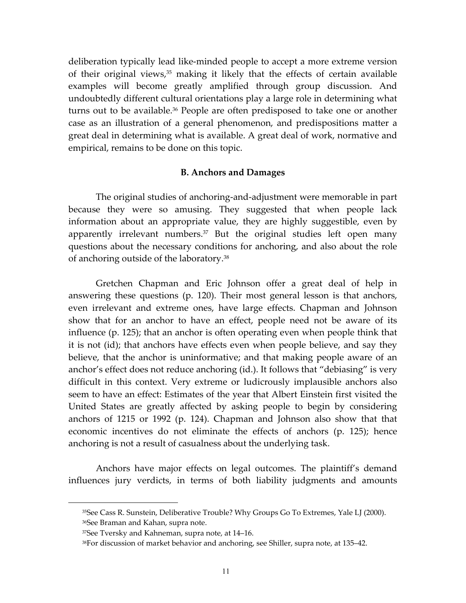deliberation typically lead like-minded people to accept a more extreme version of their original views,<sup>35</sup> making it likely that the effects of certain available examples will become greatly amplified through group discussion. And undoubtedly different cultural orientations play a large role in determining what turns out to be available.<sup>36</sup> People are often predisposed to take one or another case as an illustration of a general phenomenon, and predispositions matter a great deal in determining what is available. A great deal of work, normative and empirical, remains to be done on this topic.

#### **B. Anchors and Damages**

The original studies of anchoring-and-adjustment were memorable in part because they were so amusing. They suggested that when people lack information about an appropriate value, they are highly suggestible, even by apparently irrelevant numbers.<sup>37</sup> But the original studies left open many questions about the necessary conditions for anchoring, and also about the role of anchoring outside of the laboratory.[38](#page-12-3) 

Gretchen Chapman and Eric Johnson offer a great deal of help in answering these questions (p. 120). Their most general lesson is that anchors, even irrelevant and extreme ones, have large effects. Chapman and Johnson show that for an anchor to have an effect, people need not be aware of its influence (p. 125); that an anchor is often operating even when people think that it is not (id); that anchors have effects even when people believe, and say they believe, that the anchor is uninformative; and that making people aware of an anchor's effect does not reduce anchoring (id.). It follows that "debiasing" is very difficult in this context. Very extreme or ludicrously implausible anchors also seem to have an effect: Estimates of the year that Albert Einstein first visited the United States are greatly affected by asking people to begin by considering anchors of 1215 or 1992 (p. 124). Chapman and Johnson also show that that economic incentives do not eliminate the effects of anchors (p. 125); hence anchoring is not a result of casualness about the underlying task.

Anchors have major effects on legal outcomes. The plaintiff's demand influences jury verdicts, in terms of both liability judgments and amounts

<span id="page-12-1"></span><span id="page-12-0"></span><sup>35</sup>See Cass R. Sunstein, Deliberative Trouble? Why Groups Go To Extremes, Yale LJ (2000). 36See Braman and Kahan, supra note.

<span id="page-12-2"></span><sup>37</sup>See Tversky and Kahneman, supra note, at 14–16.

<span id="page-12-3"></span><sup>38</sup>For discussion of market behavior and anchoring, see Shiller, supra note, at 135–42.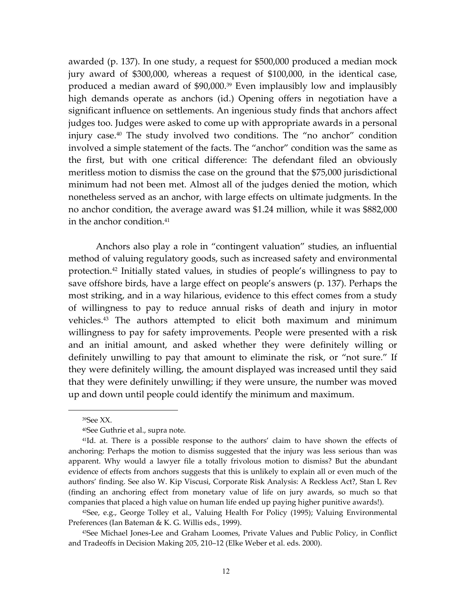awarded (p. 137). In one study, a request for \$500,000 produced a median mock jury award of \$300,000, whereas a request of \$100,000, in the identical case, produced a median award of \$90,000.[39](#page-13-0) Even implausibly low and implausibly high demands operate as anchors (id.) Opening offers in negotiation have a significant influence on settlements. An ingenious study finds that anchors affect judges too. Judges were asked to come up with appropriate awards in a personal injury case.[40](#page-13-1) The study involved two conditions. The "no anchor" condition involved a simple statement of the facts. The "anchor" condition was the same as the first, but with one critical difference: The defendant filed an obviously meritless motion to dismiss the case on the ground that the \$75,000 jurisdictional minimum had not been met. Almost all of the judges denied the motion, which nonetheless served as an anchor, with large effects on ultimate judgments. In the no anchor condition, the average award was \$1.24 million, while it was \$882,000 in the anchor condition.[41](#page-13-2)

Anchors also play a role in "contingent valuation" studies, an influential method of valuing regulatory goods, such as increased safety and environmental protection.[42](#page-13-3) Initially stated values, in studies of people's willingness to pay to save offshore birds, have a large effect on people's answers (p. 137). Perhaps the most striking, and in a way hilarious, evidence to this effect comes from a study of willingness to pay to reduce annual risks of death and injury in motor vehicles.[43](#page-13-4) The authors attempted to elicit both maximum and minimum willingness to pay for safety improvements. People were presented with a risk and an initial amount, and asked whether they were definitely willing or definitely unwilling to pay that amount to eliminate the risk, or "not sure." If they were definitely willing, the amount displayed was increased until they said that they were definitely unwilling; if they were unsure, the number was moved up and down until people could identify the minimum and maximum.

<span id="page-13-0"></span><sup>39</sup>See XX.

<span id="page-13-2"></span><span id="page-13-1"></span><sup>40</sup>See Guthrie et al., supra note.

<sup>41</sup>Id. at. There is a possible response to the authors' claim to have shown the effects of anchoring: Perhaps the motion to dismiss suggested that the injury was less serious than was apparent. Why would a lawyer file a totally frivolous motion to dismiss? But the abundant evidence of effects from anchors suggests that this is unlikely to explain all or even much of the authors' finding. See also W. Kip Viscusi, Corporate Risk Analysis: A Reckless Act?, Stan L Rev (finding an anchoring effect from monetary value of life on jury awards, so much so that companies that placed a high value on human life ended up paying higher punitive awards!).

<span id="page-13-3"></span> $42$ See, e.g., George Tolley et al., Valuing Health For Policy (1995); Valuing Environmental Preferences (Ian Bateman & K. G. Willis eds., 1999).

<span id="page-13-4"></span><sup>43</sup>See Michael Jones-Lee and Graham Loomes, Private Values and Public Policy, in Conflict and Tradeoffs in Decision Making 205, 210–12 (Elke Weber et al. eds. 2000).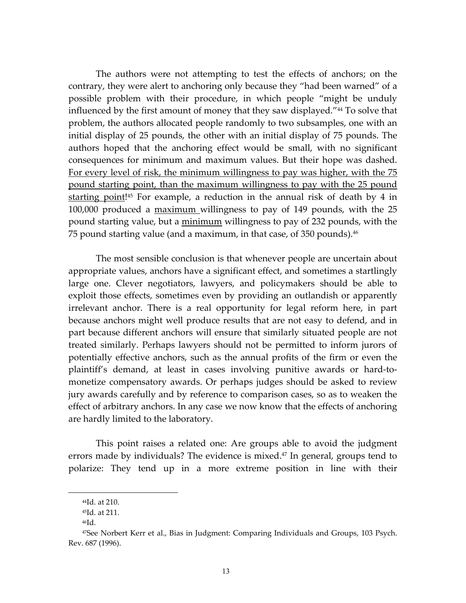The authors were not attempting to test the effects of anchors; on the contrary, they were alert to anchoring only because they "had been warned" of a possible problem with their procedure, in which people "might be unduly influenced by the first amount of money that they saw displayed.["44](#page-14-0) To solve that problem, the authors allocated people randomly to two subsamples, one with an initial display of 25 pounds, the other with an initial display of 75 pounds. The authors hoped that the anchoring effect would be small, with no significant consequences for minimum and maximum values. But their hope was dashed. For every level of risk, the minimum willingness to pay was higher, with the 75 pound starting point, than the maximum willingness to pay with the 25 pound starting point!<sup>45</sup> For example, a reduction in the annual risk of death by 4 in 100,000 produced a maximum willingness to pay of 149 pounds, with the 25 pound starting value, but a minimum willingness to pay of 232 pounds, with the 75 pound starting value (and a maximum, in that case, of 350 pounds).<sup>[46](#page-14-2)</sup>

The most sensible conclusion is that whenever people are uncertain about appropriate values, anchors have a significant effect, and sometimes a startlingly large one. Clever negotiators, lawyers, and policymakers should be able to exploit those effects, sometimes even by providing an outlandish or apparently irrelevant anchor. There is a real opportunity for legal reform here, in part because anchors might well produce results that are not easy to defend, and in part because different anchors will ensure that similarly situated people are not treated similarly. Perhaps lawyers should not be permitted to inform jurors of potentially effective anchors, such as the annual profits of the firm or even the plaintiff's demand, at least in cases involving punitive awards or hard-tomonetize compensatory awards. Or perhaps judges should be asked to review jury awards carefully and by reference to comparison cases, so as to weaken the effect of arbitrary anchors. In any case we now know that the effects of anchoring are hardly limited to the laboratory.

This point raises a related one: Are groups able to avoid the judgment errors made by individuals? The evidence is mixed.<sup>47</sup> In general, groups tend to polarize: They tend up in a more extreme position in line with their

<span id="page-14-0"></span><sup>44</sup>Id. at 210.

<span id="page-14-1"></span><sup>45</sup>Id. at 211.

<span id="page-14-3"></span><span id="page-14-2"></span><sup>46</sup>Id.

<sup>47</sup>See Norbert Kerr et al., Bias in Judgment: Comparing Individuals and Groups, 103 Psych. Rev. 687 (1996).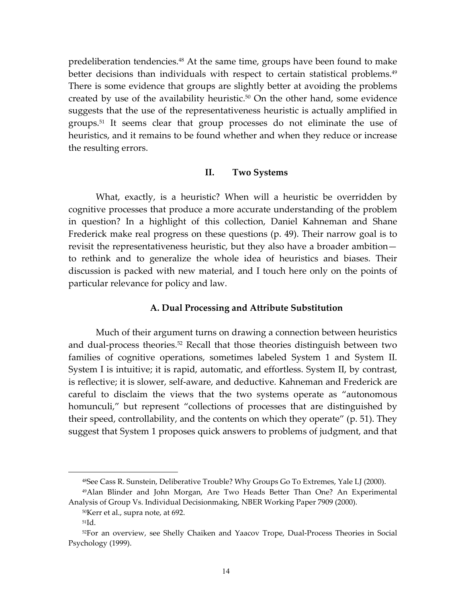predeliberation tendencies.<sup>48</sup> At the same time, groups have been found to make better decisions than individuals with respect to certain statistical problems.<sup>[49](#page-15-1)</sup> There is some evidence that groups are slightly better at avoiding the problems created by use of the availability heuristic.<sup>50</sup> On the other hand, some evidence suggests that the use of the representativeness heuristic is actually amplified in groups.<sup>51</sup> It seems clear that group processes do not eliminate the use of heuristics, and it remains to be found whether and when they reduce or increase the resulting errors.

#### **II. Two Systems**

What, exactly, is a heuristic? When will a heuristic be overridden by cognitive processes that produce a more accurate understanding of the problem in question? In a highlight of this collection, Daniel Kahneman and Shane Frederick make real progress on these questions (p. 49). Their narrow goal is to revisit the representativeness heuristic, but they also have a broader ambition to rethink and to generalize the whole idea of heuristics and biases. Their discussion is packed with new material, and I touch here only on the points of particular relevance for policy and law.

#### **A. Dual Processing and Attribute Substitution**

Much of their argument turns on drawing a connection between heuristics and dual-process theories.<sup>52</sup> Recall that those theories distinguish between two families of cognitive operations, sometimes labeled System 1 and System II. System I is intuitive; it is rapid, automatic, and effortless. System II, by contrast, is reflective; it is slower, self-aware, and deductive. Kahneman and Frederick are careful to disclaim the views that the two systems operate as "autonomous homunculi," but represent "collections of processes that are distinguished by their speed, controllability, and the contents on which they operate" (p. 51). They suggest that System 1 proposes quick answers to problems of judgment, and that

<span id="page-15-1"></span><span id="page-15-0"></span><sup>48</sup>See Cass R. Sunstein, Deliberative Trouble? Why Groups Go To Extremes, Yale LJ (2000).

<sup>49</sup>Alan Blinder and John Morgan, Are Two Heads Better Than One? An Experimental Analysis of Group Vs. Individual Decisionmaking, NBER Working Paper 7909 (2000).

<span id="page-15-2"></span><sup>50</sup>Kerr et al., supra note, at 692.

<span id="page-15-4"></span><span id="page-15-3"></span><sup>51</sup>Id.

<sup>52</sup>For an overview, see Shelly Chaiken and Yaacov Trope, Dual-Process Theories in Social Psychology (1999).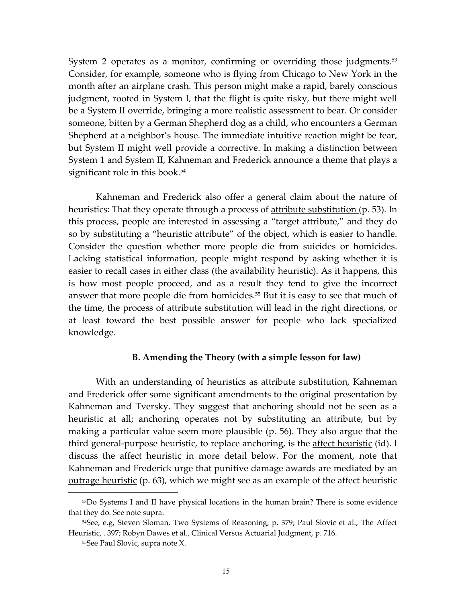System 2 operates as a monitor, confirming or overriding those judgments. $53$ Consider, for example, someone who is flying from Chicago to New York in the month after an airplane crash. This person might make a rapid, barely conscious judgment, rooted in System I, that the flight is quite risky, but there might well be a System II override, bringing a more realistic assessment to bear. Or consider someone, bitten by a German Shepherd dog as a child, who encounters a German Shepherd at a neighbor's house. The immediate intuitive reaction might be fear, but System II might well provide a corrective. In making a distinction between System 1 and System II, Kahneman and Frederick announce a theme that plays a significant role in this book.<sup>54</sup>

Kahneman and Frederick also offer a general claim about the nature of heuristics: That they operate through a process of attribute substitution (p. 53). In this process, people are interested in assessing a "target attribute," and they do so by substituting a "heuristic attribute" of the object, which is easier to handle. Consider the question whether more people die from suicides or homicides. Lacking statistical information, people might respond by asking whether it is easier to recall cases in either class (the availability heuristic). As it happens, this is how most people proceed, and as a result they tend to give the incorrect answer that more people die from homicides.<sup>55</sup> But it is easy to see that much of the time, the process of attribute substitution will lead in the right directions, or at least toward the best possible answer for people who lack specialized knowledge.

#### **B. Amending the Theory (with a simple lesson for law)**

With an understanding of heuristics as attribute substitution, Kahneman and Frederick offer some significant amendments to the original presentation by Kahneman and Tversky. They suggest that anchoring should not be seen as a heuristic at all; anchoring operates not by substituting an attribute, but by making a particular value seem more plausible (p. 56). They also argue that the third general-purpose heuristic, to replace anchoring, is the affect heuristic (id). I discuss the affect heuristic in more detail below. For the moment, note that Kahneman and Frederick urge that punitive damage awards are mediated by an outrage heuristic (p. 63), which we might see as an example of the affect heuristic

<span id="page-16-0"></span><sup>53</sup>Do Systems I and II have physical locations in the human brain? There is some evidence that they do. See note supra.

<span id="page-16-1"></span><sup>54</sup>See, e.g, Steven Sloman, Two Systems of Reasoning, p. 379; Paul Slovic et al., The Affect Heuristic, . 397; Robyn Dawes et al., Clinical Versus Actuarial Judgment, p. 716.

<span id="page-16-2"></span><sup>55</sup>See Paul Slovic, supra note X.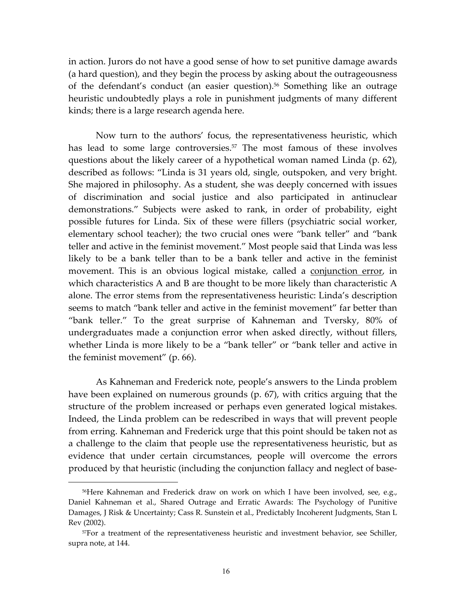in action. Jurors do not have a good sense of how to set punitive damage awards (a hard question), and they begin the process by asking about the outrageousness of the defendant's conduct (an easier question).<sup>56</sup> Something like an outrage heuristic undoubtedly plays a role in punishment judgments of many different kinds; there is a large research agenda here.

Now turn to the authors' focus, the representativeness heuristic, which has lead to some large controversies.<sup>57</sup> The most famous of these involves questions about the likely career of a hypothetical woman named Linda (p. 62), described as follows: "Linda is 31 years old, single, outspoken, and very bright. She majored in philosophy. As a student, she was deeply concerned with issues of discrimination and social justice and also participated in antinuclear demonstrations." Subjects were asked to rank, in order of probability, eight possible futures for Linda. Six of these were fillers (psychiatric social worker, elementary school teacher); the two crucial ones were "bank teller" and "bank teller and active in the feminist movement." Most people said that Linda was less likely to be a bank teller than to be a bank teller and active in the feminist movement. This is an obvious logical mistake, called a <u>conjunction error</u>, in which characteristics A and B are thought to be more likely than characteristic A alone. The error stems from the representativeness heuristic: Linda's description seems to match "bank teller and active in the feminist movement" far better than "bank teller." To the great surprise of Kahneman and Tversky, 80% of undergraduates made a conjunction error when asked directly, without fillers, whether Linda is more likely to be a "bank teller" or "bank teller and active in the feminist movement" (p. 66).

As Kahneman and Frederick note, people's answers to the Linda problem have been explained on numerous grounds (p. 67), with critics arguing that the structure of the problem increased or perhaps even generated logical mistakes. Indeed, the Linda problem can be redescribed in ways that will prevent people from erring. Kahneman and Frederick urge that this point should be taken not as a challenge to the claim that people use the representativeness heuristic, but as evidence that under certain circumstances, people will overcome the errors produced by that heuristic (including the conjunction fallacy and neglect of base-

<span id="page-17-0"></span><sup>&</sup>lt;sup>56</sup>Here Kahneman and Frederick draw on work on which I have been involved, see, e.g., Daniel Kahneman et al., Shared Outrage and Erratic Awards: The Psychology of Punitive Damages, J Risk & Uncertainty; Cass R. Sunstein et al., Predictably Incoherent Judgments, Stan L Rev (2002).

<span id="page-17-1"></span><sup>57</sup>For a treatment of the representativeness heuristic and investment behavior, see Schiller, supra note, at 144.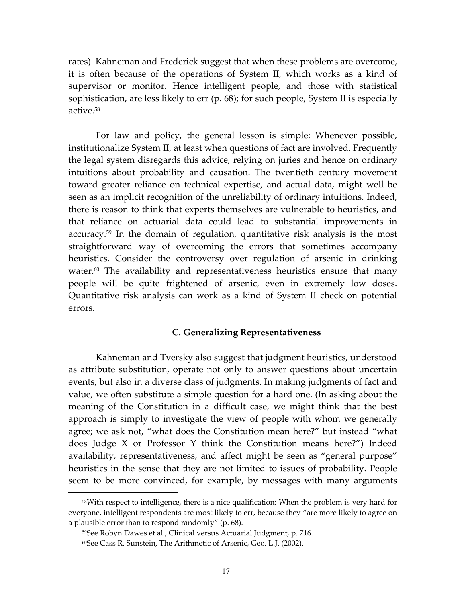rates). Kahneman and Frederick suggest that when these problems are overcome, it is often because of the operations of System II, which works as a kind of supervisor or monitor. Hence intelligent people, and those with statistical sophistication, are less likely to err (p. 68); for such people, System II is especially active.[58](#page-18-0) 

For law and policy, the general lesson is simple: Whenever possible, institutionalize System II, at least when questions of fact are involved. Frequently the legal system disregards this advice, relying on juries and hence on ordinary intuitions about probability and causation. The twentieth century movement toward greater reliance on technical expertise, and actual data, might well be seen as an implicit recognition of the unreliability of ordinary intuitions. Indeed, there is reason to think that experts themselves are vulnerable to heuristics, and that reliance on actuarial data could lead to substantial improvements in accuracy.[59](#page-18-1) In the domain of regulation, quantitative risk analysis is the most straightforward way of overcoming the errors that sometimes accompany heuristics. Consider the controversy over regulation of arsenic in drinking water.<sup>60</sup> The availability and representativeness heuristics ensure that many people will be quite frightened of arsenic, even in extremely low doses. Quantitative risk analysis can work as a kind of System II check on potential errors.

#### **C. Generalizing Representativeness**

Kahneman and Tversky also suggest that judgment heuristics, understood as attribute substitution, operate not only to answer questions about uncertain events, but also in a diverse class of judgments. In making judgments of fact and value, we often substitute a simple question for a hard one. (In asking about the meaning of the Constitution in a difficult case, we might think that the best approach is simply to investigate the view of people with whom we generally agree; we ask not, "what does the Constitution mean here?" but instead "what does Judge X or Professor Y think the Constitution means here?") Indeed availability, representativeness, and affect might be seen as "general purpose" heuristics in the sense that they are not limited to issues of probability. People seem to be more convinced, for example, by messages with many arguments

<span id="page-18-0"></span><sup>58</sup>With respect to intelligence, there is a nice qualification: When the problem is very hard for everyone, intelligent respondents are most likely to err, because they "are more likely to agree on a plausible error than to respond randomly" (p. 68).

<span id="page-18-1"></span><sup>59</sup>See Robyn Dawes et al., Clinical versus Actuarial Judgment, p. 716.

<span id="page-18-2"></span><sup>60</sup>See Cass R. Sunstein, The Arithmetic of Arsenic, Geo. L.J. (2002).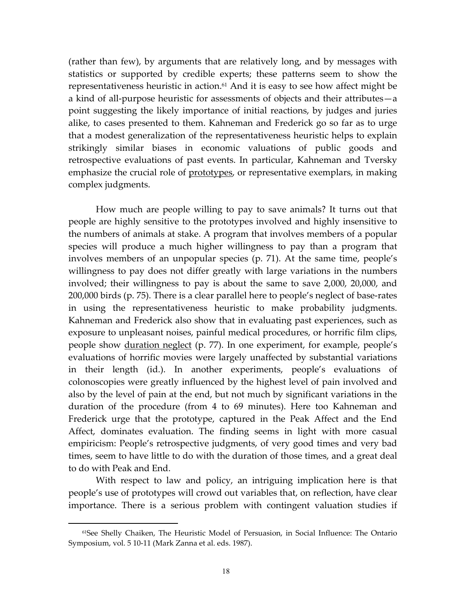(rather than few), by arguments that are relatively long, and by messages with statistics or supported by credible experts; these patterns seem to show the representativeness heuristic in action.[61](#page-19-0) And it is easy to see how affect might be a kind of all-purpose heuristic for assessments of objects and their attributes—a point suggesting the likely importance of initial reactions, by judges and juries alike, to cases presented to them. Kahneman and Frederick go so far as to urge that a modest generalization of the representativeness heuristic helps to explain strikingly similar biases in economic valuations of public goods and retrospective evaluations of past events. In particular, Kahneman and Tversky emphasize the crucial role of prototypes, or representative exemplars, in making complex judgments.

How much are people willing to pay to save animals? It turns out that people are highly sensitive to the prototypes involved and highly insensitive to the numbers of animals at stake. A program that involves members of a popular species will produce a much higher willingness to pay than a program that involves members of an unpopular species (p. 71). At the same time, people's willingness to pay does not differ greatly with large variations in the numbers involved; their willingness to pay is about the same to save 2,000, 20,000, and 200,000 birds (p. 75). There is a clear parallel here to people's neglect of base-rates in using the representativeness heuristic to make probability judgments. Kahneman and Frederick also show that in evaluating past experiences, such as exposure to unpleasant noises, painful medical procedures, or horrific film clips, people show duration neglect (p. 77). In one experiment, for example, people's evaluations of horrific movies were largely unaffected by substantial variations in their length (id.). In another experiments, people's evaluations of colonoscopies were greatly influenced by the highest level of pain involved and also by the level of pain at the end, but not much by significant variations in the duration of the procedure (from 4 to 69 minutes). Here too Kahneman and Frederick urge that the prototype, captured in the Peak Affect and the End Affect, dominates evaluation. The finding seems in light with more casual empiricism: People's retrospective judgments, of very good times and very bad times, seem to have little to do with the duration of those times, and a great deal to do with Peak and End.

With respect to law and policy, an intriguing implication here is that people's use of prototypes will crowd out variables that, on reflection, have clear importance. There is a serious problem with contingent valuation studies if

<span id="page-19-0"></span><sup>61</sup>See Shelly Chaiken, The Heuristic Model of Persuasion, in Social Influence: The Ontario Symposium, vol. 5 10-11 (Mark Zanna et al. eds. 1987).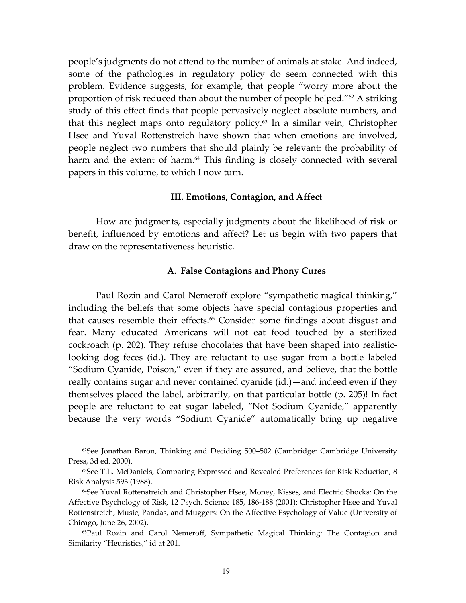people's judgments do not attend to the number of animals at stake. And indeed, some of the pathologies in regulatory policy do seem connected with this problem. Evidence suggests, for example, that people "worry more about the proportion of risk reduced than about the number of people helped.["62](#page-20-0) A striking study of this effect finds that people pervasively neglect absolute numbers, and that this neglect maps onto regulatory policy.[63](#page-20-1) In a similar vein, Christopher Hsee and Yuval Rottenstreich have shown that when emotions are involved, people neglect two numbers that should plainly be relevant: the probability of harm and the extent of harm.<sup>64</sup> This finding is closely connected with several papers in this volume, to which I now turn.

#### **III. Emotions, Contagion, and Affect**

How are judgments, especially judgments about the likelihood of risk or benefit, influenced by emotions and affect? Let us begin with two papers that draw on the representativeness heuristic.

#### **A. False Contagions and Phony Cures**

Paul Rozin and Carol Nemeroff explore "sympathetic magical thinking," including the beliefs that some objects have special contagious properties and that causes resemble their effects[.65](#page-20-3) Consider some findings about disgust and fear. Many educated Americans will not eat food touched by a sterilized cockroach (p. 202). They refuse chocolates that have been shaped into realisticlooking dog feces (id.). They are reluctant to use sugar from a bottle labeled "Sodium Cyanide, Poison," even if they are assured, and believe, that the bottle really contains sugar and never contained cyanide (id.)—and indeed even if they themselves placed the label, arbitrarily, on that particular bottle (p. 205)! In fact people are reluctant to eat sugar labeled, "Not Sodium Cyanide," apparently because the very words "Sodium Cyanide" automatically bring up negative

<span id="page-20-0"></span> $62$ See Jonathan Baron, Thinking and Deciding  $500-502$  (Cambridge: Cambridge University Press, 3d ed. 2000).

<span id="page-20-1"></span><sup>&</sup>lt;sup>63</sup>See T.L. McDaniels, Comparing Expressed and Revealed Preferences for Risk Reduction, 8 Risk Analysis 593 (1988).

<span id="page-20-2"></span><sup>64</sup>See Yuval Rottenstreich and Christopher Hsee, Money, Kisses, and Electric Shocks: On the Affective Psychology of Risk, 12 Psych. Science 185, 186-188 (2001); Christopher Hsee and Yuval Rottenstreich, Music, Pandas, and Muggers: On the Affective Psychology of Value (University of Chicago, June 26, 2002).

<span id="page-20-3"></span><sup>65</sup>Paul Rozin and Carol Nemeroff, Sympathetic Magical Thinking: The Contagion and Similarity "Heuristics," id at 201.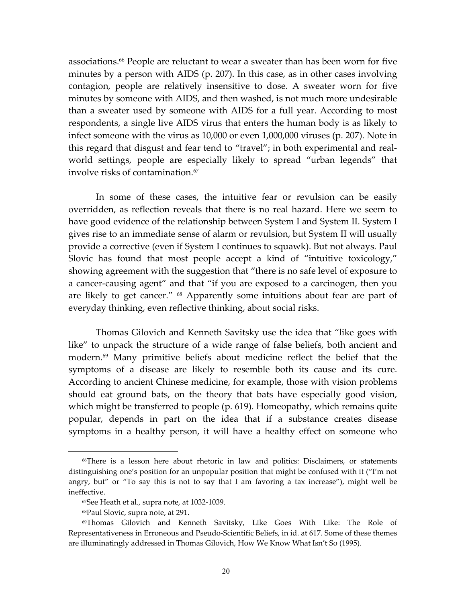associations.<sup>66</sup> People are reluctant to wear a sweater than has been worn for five minutes by a person with AIDS (p. 207). In this case, as in other cases involving contagion, people are relatively insensitive to dose. A sweater worn for five minutes by someone with AIDS, and then washed, is not much more undesirable than a sweater used by someone with AIDS for a full year. According to most respondents, a single live AIDS virus that enters the human body is as likely to infect someone with the virus as 10,000 or even 1,000,000 viruses (p. 207). Note in this regard that disgust and fear tend to "travel"; in both experimental and realworld settings, people are especially likely to spread "urban legends" that involve risks of contamination[.67](#page-21-1)

In some of these cases, the intuitive fear or revulsion can be easily overridden, as reflection reveals that there is no real hazard. Here we seem to have good evidence of the relationship between System I and System II. System I gives rise to an immediate sense of alarm or revulsion, but System II will usually provide a corrective (even if System I continues to squawk). But not always. Paul Slovic has found that most people accept a kind of "intuitive toxicology," showing agreement with the suggestion that "there is no safe level of exposure to a cancer-causing agent" and that "if you are exposed to a carcinogen, then you are likely to get cancer." <sup>68</sup> Apparently some intuitions about fear are part of everyday thinking, even reflective thinking, about social risks.

Thomas Gilovich and Kenneth Savitsky use the idea that "like goes with like" to unpack the structure of a wide range of false beliefs, both ancient and modern.[69](#page-21-3) Many primitive beliefs about medicine reflect the belief that the symptoms of a disease are likely to resemble both its cause and its cure. According to ancient Chinese medicine, for example, those with vision problems should eat ground bats, on the theory that bats have especially good vision, which might be transferred to people (p. 619). Homeopathy, which remains quite popular, depends in part on the idea that if a substance creates disease symptoms in a healthy person, it will have a healthy effect on someone who

<span id="page-21-0"></span><sup>66</sup>There is a lesson here about rhetoric in law and politics: Disclaimers, or statements distinguishing one's position for an unpopular position that might be confused with it ("I'm not angry, but" or "To say this is not to say that I am favoring a tax increase"), might well be ineffective.

<span id="page-21-1"></span><sup>67</sup>See Heath et al., supra note, at 1032-1039.

<span id="page-21-3"></span><span id="page-21-2"></span><sup>68</sup>Paul Slovic, supra note, at 291.

<sup>69</sup>Thomas Gilovich and Kenneth Savitsky, Like Goes With Like: The Role of Representativeness in Erroneous and Pseudo-Scientific Beliefs, in id. at 617. Some of these themes are illuminatingly addressed in Thomas Gilovich, How We Know What Isn't So (1995).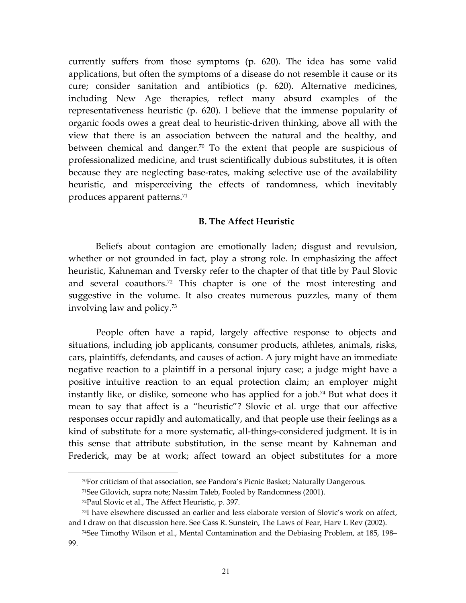currently suffers from those symptoms (p. 620). The idea has some valid applications, but often the symptoms of a disease do not resemble it cause or its cure; consider sanitation and antibiotics (p. 620). Alternative medicines, including New Age therapies, reflect many absurd examples of the representativeness heuristic (p. 620). I believe that the immense popularity of organic foods owes a great deal to heuristic-driven thinking, above all with the view that there is an association between the natural and the healthy, and between chemical and danger.<sup>70</sup> To the extent that people are suspicious of professionalized medicine, and trust scientifically dubious substitutes, it is often because they are neglecting base-rates, making selective use of the availability heuristic, and misperceiving the effects of randomness, which inevitably produces apparent patterns.[71](#page-22-1)

#### **B. The Affect Heuristic**

Beliefs about contagion are emotionally laden; disgust and revulsion, whether or not grounded in fact, play a strong role. In emphasizing the affect heuristic, Kahneman and Tversky refer to the chapter of that title by Paul Slovic and several coauthors.[72](#page-22-2) This chapter is one of the most interesting and suggestive in the volume. It also creates numerous puzzles, many of them involving law and policy.[73](#page-22-3)

People often have a rapid, largely affective response to objects and situations, including job applicants, consumer products, athletes, animals, risks, cars, plaintiffs, defendants, and causes of action. A jury might have an immediate negative reaction to a plaintiff in a personal injury case; a judge might have a positive intuitive reaction to an equal protection claim; an employer might instantly like, or dislike, someone who has applied for a job.[74](#page-22-4) But what does it mean to say that affect is a "heuristic"? Slovic et al. urge that our affective responses occur rapidly and automatically, and that people use their feelings as a kind of substitute for a more systematic, all-things-considered judgment. It is in this sense that attribute substitution, in the sense meant by Kahneman and Frederick, may be at work; affect toward an object substitutes for a more

<span id="page-22-0"></span><sup>70</sup>For criticism of that association, see Pandora's Picnic Basket; Naturally Dangerous.

<span id="page-22-1"></span><sup>71</sup>See Gilovich, supra note; Nassim Taleb, Fooled by Randomness (2001).

<span id="page-22-3"></span><span id="page-22-2"></span><sup>72</sup>Paul Slovic et al., The Affect Heuristic, p. 397.

<sup>73</sup>I have elsewhere discussed an earlier and less elaborate version of Slovic's work on affect, and I draw on that discussion here. See Cass R. Sunstein, The Laws of Fear, Harv L Rev (2002).

<span id="page-22-4"></span><sup>74</sup>See Timothy Wilson et al., Mental Contamination and the Debiasing Problem, at 185, 198– 99.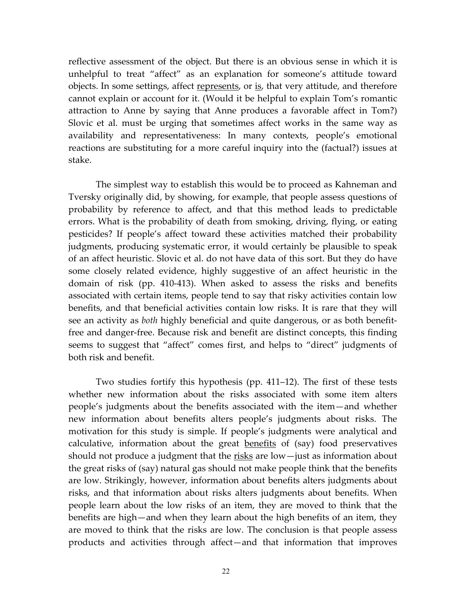reflective assessment of the object. But there is an obvious sense in which it is unhelpful to treat "affect" as an explanation for someone's attitude toward objects. In some settings, affect represents, or is, that very attitude, and therefore cannot explain or account for it. (Would it be helpful to explain Tom's romantic attraction to Anne by saying that Anne produces a favorable affect in Tom?) Slovic et al. must be urging that sometimes affect works in the same way as availability and representativeness: In many contexts, people's emotional reactions are substituting for a more careful inquiry into the (factual?) issues at stake.

The simplest way to establish this would be to proceed as Kahneman and Tversky originally did, by showing, for example, that people assess questions of probability by reference to affect, and that this method leads to predictable errors. What is the probability of death from smoking, driving, flying, or eating pesticides? If people's affect toward these activities matched their probability judgments, producing systematic error, it would certainly be plausible to speak of an affect heuristic. Slovic et al. do not have data of this sort. But they do have some closely related evidence, highly suggestive of an affect heuristic in the domain of risk (pp. 410-413). When asked to assess the risks and benefits associated with certain items, people tend to say that risky activities contain low benefits, and that beneficial activities contain low risks. It is rare that they will see an activity as *both* highly beneficial and quite dangerous, or as both benefitfree and danger-free. Because risk and benefit are distinct concepts, this finding seems to suggest that "affect" comes first, and helps to "direct" judgments of both risk and benefit.

Two studies fortify this hypothesis (pp. 411–12). The first of these tests whether new information about the risks associated with some item alters people's judgments about the benefits associated with the item—and whether new information about benefits alters people's judgments about risks. The motivation for this study is simple. If people's judgments were analytical and calculative, information about the great **benefits** of (say) food preservatives should not produce a judgment that the risks are low—just as information about the great risks of (say) natural gas should not make people think that the benefits are low. Strikingly, however, information about benefits alters judgments about risks, and that information about risks alters judgments about benefits. When people learn about the low risks of an item, they are moved to think that the benefits are high—and when they learn about the high benefits of an item, they are moved to think that the risks are low. The conclusion is that people assess products and activities through affect—and that information that improves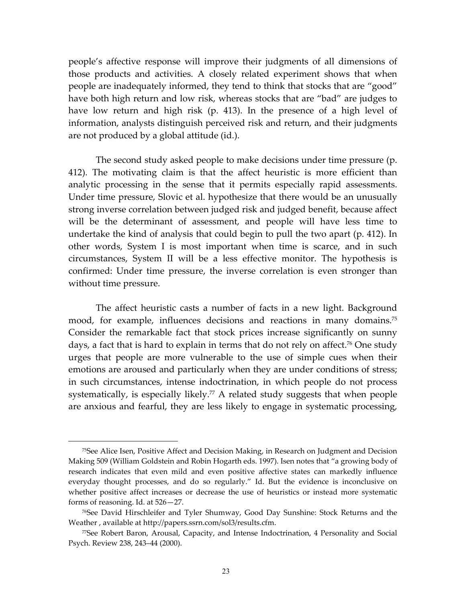people's affective response will improve their judgments of all dimensions of those products and activities. A closely related experiment shows that when people are inadequately informed, they tend to think that stocks that are "good" have both high return and low risk, whereas stocks that are "bad" are judges to have low return and high risk (p. 413). In the presence of a high level of information, analysts distinguish perceived risk and return, and their judgments are not produced by a global attitude (id.).

The second study asked people to make decisions under time pressure (p. 412). The motivating claim is that the affect heuristic is more efficient than analytic processing in the sense that it permits especially rapid assessments. Under time pressure, Slovic et al. hypothesize that there would be an unusually strong inverse correlation between judged risk and judged benefit, because affect will be the determinant of assessment, and people will have less time to undertake the kind of analysis that could begin to pull the two apart (p. 412). In other words, System I is most important when time is scarce, and in such circumstances, System II will be a less effective monitor. The hypothesis is confirmed: Under time pressure, the inverse correlation is even stronger than without time pressure.

The affect heuristic casts a number of facts in a new light. Background mood, for example, influences decisions and reactions in many domains.<sup>[75](#page-24-0)</sup> Consider the remarkable fact that stock prices increase significantly on sunny days, a fact that is hard to explain in terms that do not rely on affect.<sup>76</sup> One study urges that people are more vulnerable to the use of simple cues when their emotions are aroused and particularly when they are under conditions of stress; in such circumstances, intense indoctrination, in which people do not process systematically, is especially likely.<sup>77</sup> A related study suggests that when people are anxious and fearful, they are less likely to engage in systematic processing,

<span id="page-24-0"></span><sup>75</sup>See Alice Isen, Positive Affect and Decision Making, in Research on Judgment and Decision Making 509 (William Goldstein and Robin Hogarth eds. 1997). Isen notes that "a growing body of research indicates that even mild and even positive affective states can markedly influence everyday thought processes, and do so regularly." Id. But the evidence is inconclusive on whether positive affect increases or decrease the use of heuristics or instead more systematic forms of reasoning. Id. at 526—27.

<span id="page-24-1"></span><sup>76</sup>See David Hirschleifer and Tyler Shumway, Good Day Sunshine: Stock Returns and the Weather , available at http://papers.ssrn.com/sol3/results.cfm.

<span id="page-24-2"></span><sup>77</sup>See Robert Baron, Arousal, Capacity, and Intense Indoctrination, 4 Personality and Social Psych. Review 238, 243–44 (2000).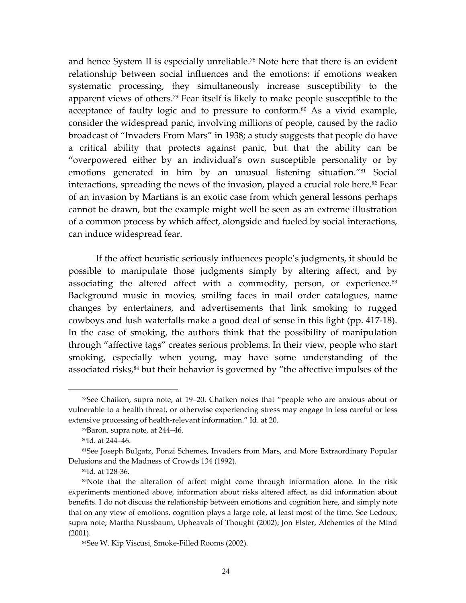and hence System II is especially unreliable.[78](#page-25-0) Note here that there is an evident relationship between social influences and the emotions: if emotions weaken systematic processing, they simultaneously increase susceptibility to the apparent views of others[.79](#page-25-1) Fear itself is likely to make people susceptible to the acceptance of faulty logic and to pressure to conform.<sup>80</sup> As a vivid example, consider the widespread panic, involving millions of people, caused by the radio broadcast of "Invaders From Mars" in 1938; a study suggests that people do have a critical ability that protects against panic, but that the ability can be "overpowered either by an individual's own susceptible personality or by emotions generated in him by an unusual listening situation."[81](#page-25-3) Social interactions, spreading the news of the invasion, played a crucial role here.<sup>82</sup> Fear of an invasion by Martians is an exotic case from which general lessons perhaps cannot be drawn, but the example might well be seen as an extreme illustration of a common process by which affect, alongside and fueled by social interactions, can induce widespread fear.

If the affect heuristic seriously influences people's judgments, it should be possible to manipulate those judgments simply by altering affect, and by associating the altered affect with a commodity, person, or experience.<sup>[83](#page-25-5)</sup> Background music in movies, smiling faces in mail order catalogues, name changes by entertainers, and advertisements that link smoking to rugged cowboys and lush waterfalls make a good deal of sense in this light (pp. 417-18). In the case of smoking, the authors think that the possibility of manipulation through "affective tags" creates serious problems. In their view, people who start smoking, especially when young, may have some understanding of the associated risks,<sup>84</sup> but their behavior is governed by "the affective impulses of the

<span id="page-25-0"></span><sup>78</sup>See Chaiken, supra note, at 19–20. Chaiken notes that "people who are anxious about or vulnerable to a health threat, or otherwise experiencing stress may engage in less careful or less extensive processing of health-relevant information." Id. at 20.

<span id="page-25-1"></span><sup>79</sup>Baron, supra note, at 244–46.

<span id="page-25-3"></span><span id="page-25-2"></span><sup>80</sup>Id. at 244–46.

<sup>81</sup>See Joseph Bulgatz, Ponzi Schemes, Invaders from Mars, and More Extraordinary Popular Delusions and the Madness of Crowds 134 (1992).

<span id="page-25-5"></span><span id="page-25-4"></span><sup>82</sup>Id. at 128-36.

<sup>83</sup>Note that the alteration of affect might come through information alone. In the risk experiments mentioned above, information about risks altered affect, as did information about benefits. I do not discuss the relationship between emotions and cognition here, and simply note that on any view of emotions, cognition plays a large role, at least most of the time. See Ledoux, supra note; Martha Nussbaum, Upheavals of Thought (2002); Jon Elster, Alchemies of the Mind (2001).

<span id="page-25-6"></span><sup>84</sup>See W. Kip Viscusi, Smoke-Filled Rooms (2002).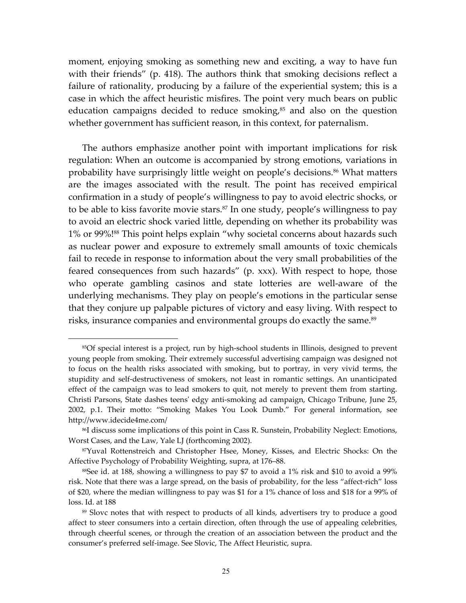moment, enjoying smoking as something new and exciting, a way to have fun with their friends" (p. 418). The authors think that smoking decisions reflect a failure of rationality, producing by a failure of the experiential system; this is a case in which the affect heuristic misfires. The point very much bears on public education campaigns decided to reduce smoking, $85$  and also on the question whether government has sufficient reason, in this context, for paternalism.

 The authors emphasize another point with important implications for risk regulation: When an outcome is accompanied by strong emotions, variations in probability have surprisingly little weight on people's decisions.<sup>86</sup> What matters are the images associated with the result. The point has received empirical confirmation in a study of people's willingness to pay to avoid electric shocks, or to be able to kiss favorite movie stars.<sup>87</sup> In one study, people's willingness to pay to avoid an electric shock varied little, depending on whether its probability was 1% or 99%[!88](#page-26-3) This point helps explain "why societal concerns about hazards such as nuclear power and exposure to extremely small amounts of toxic chemicals fail to recede in response to information about the very small probabilities of the feared consequences from such hazards" (p. xxx). With respect to hope, those who operate gambling casinos and state lotteries are well-aware of the underlying mechanisms. They play on people's emotions in the particular sense that they conjure up palpable pictures of victory and easy living. With respect to risks, insurance companies and environmental groups do exactly the same.<sup>89</sup>

<span id="page-26-0"></span><sup>85</sup>Of special interest is a project, run by high-school students in Illinois, designed to prevent young people from smoking. Their extremely successful advertising campaign was designed not to focus on the health risks associated with smoking, but to portray, in very vivid terms, the stupidity and self-destructiveness of smokers, not least in romantic settings. An unanticipated effect of the campaign was to lead smokers to quit, not merely to prevent them from starting. Christi Parsons, State dashes teens' edgy anti-smoking ad campaign, Chicago Tribune, June 25, 2002, p.1. Their motto: "Smoking Makes You Look Dumb." For general information, see http://www.idecide4me.com/

<span id="page-26-1"></span><sup>86</sup>I discuss some implications of this point in Cass R. Sunstein, Probability Neglect: Emotions, Worst Cases, and the Law, Yale LJ (forthcoming 2002).

<span id="page-26-2"></span><sup>87</sup>Yuval Rottenstreich and Christopher Hsee, Money, Kisses, and Electric Shocks: On the Affective Psychology of Probability Weighting, supra, at 176–88.

<span id="page-26-3"></span><sup>88</sup>See id. at 188, showing a willingness to pay \$7 to avoid a 1% risk and \$10 to avoid a 99% risk. Note that there was a large spread, on the basis of probability, for the less "affect-rich" loss of \$20, where the median willingness to pay was \$1 for a 1% chance of loss and \$18 for a 99% of loss. Id. at 188

<span id="page-26-4"></span><sup>89</sup> Slovc notes that with respect to products of all kinds, advertisers try to produce a good affect to steer consumers into a certain direction, often through the use of appealing celebrities, through cheerful scenes, or through the creation of an association between the product and the consumer's preferred self-image. See Slovic, The Affect Heuristic, supra.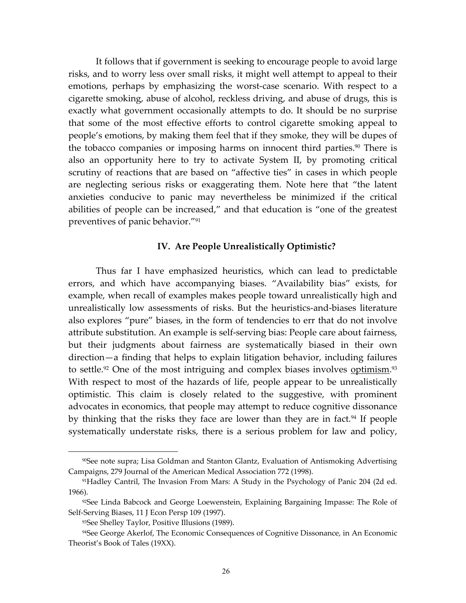It follows that if government is seeking to encourage people to avoid large risks, and to worry less over small risks, it might well attempt to appeal to their emotions, perhaps by emphasizing the worst-case scenario. With respect to a cigarette smoking, abuse of alcohol, reckless driving, and abuse of drugs, this is exactly what government occasionally attempts to do. It should be no surprise that some of the most effective efforts to control cigarette smoking appeal to people's emotions, by making them feel that if they smoke, they will be dupes of the tobacco companies or imposing harms on innocent third parties.<sup>90</sup> There is also an opportunity here to try to activate System II, by promoting critical scrutiny of reactions that are based on "affective ties" in cases in which people are neglecting serious risks or exaggerating them. Note here that "the latent anxieties conducive to panic may nevertheless be minimized if the critical abilities of people can be increased," and that education is "one of the greatest preventives of panic behavior."[91](#page-27-1)

#### **IV. Are People Unrealistically Optimistic?**

Thus far I have emphasized heuristics, which can lead to predictable errors, and which have accompanying biases. "Availability bias" exists, for example, when recall of examples makes people toward unrealistically high and unrealistically low assessments of risks. But the heuristics-and-biases literature also explores "pure" biases, in the form of tendencies to err that do not involve attribute substitution. An example is self-serving bias: People care about fairness, but their judgments about fairness are systematically biased in their own direction—a finding that helps to explain litigation behavior, including failures to settle.<sup>92</sup> One of the most intriguing and complex biases involves <u>optimism</u>.<sup>[93](#page-27-3)</sup> With respect to most of the hazards of life, people appear to be unrealistically optimistic. This claim is closely related to the suggestive, with prominent advocates in economics, that people may attempt to reduce cognitive dissonance by thinking that the risks they face are lower than they are in fact.<sup>94</sup> If people systematically understate risks, there is a serious problem for law and policy,

<span id="page-27-0"></span><sup>90</sup>See note supra; Lisa Goldman and Stanton Glantz, Evaluation of Antismoking Advertising Campaigns, 279 Journal of the American Medical Association 772 (1998).

<span id="page-27-1"></span><sup>91</sup>Hadley Cantril, The Invasion From Mars: A Study in the Psychology of Panic 204 (2d ed. 1966).

<span id="page-27-2"></span><sup>92</sup>See Linda Babcock and George Loewenstein, Explaining Bargaining Impasse: The Role of Self-Serving Biases, 11 J Econ Persp 109 (1997).

<span id="page-27-4"></span><span id="page-27-3"></span><sup>93</sup>See Shelley Taylor, Positive Illusions (1989).

<sup>94</sup>See George Akerlof, The Economic Consequences of Cognitive Dissonance, in An Economic Theorist's Book of Tales (19XX).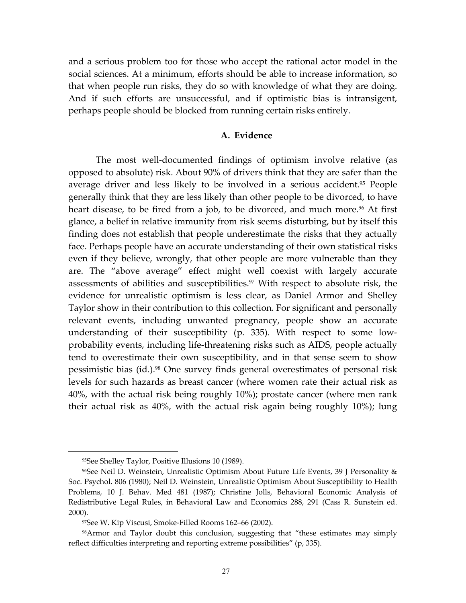and a serious problem too for those who accept the rational actor model in the social sciences. At a minimum, efforts should be able to increase information, so that when people run risks, they do so with knowledge of what they are doing. And if such efforts are unsuccessful, and if optimistic bias is intransigent, perhaps people should be blocked from running certain risks entirely.

#### **A. Evidence**

The most well-documented findings of optimism involve relative (as opposed to absolute) risk. About 90% of drivers think that they are safer than the average driver and less likely to be involved in a serious accident.<sup>95</sup> People generally think that they are less likely than other people to be divorced, to have heart disease, to be fired from a job, to be divorced, and much more.<sup>96</sup> At first glance, a belief in relative immunity from risk seems disturbing, but by itself this finding does not establish that people underestimate the risks that they actually face. Perhaps people have an accurate understanding of their own statistical risks even if they believe, wrongly, that other people are more vulnerable than they are. The "above average" effect might well coexist with largely accurate assessments of abilities and susceptibilities.<sup>97</sup> With respect to absolute risk, the evidence for unrealistic optimism is less clear, as Daniel Armor and Shelley Taylor show in their contribution to this collection. For significant and personally relevant events, including unwanted pregnancy, people show an accurate understanding of their susceptibility (p. 335). With respect to some lowprobability events, including life-threatening risks such as AIDS, people actually tend to overestimate their own susceptibility, and in that sense seem to show pessimistic bias (id.).<sup>98</sup> One survey finds general overestimates of personal risk levels for such hazards as breast cancer (where women rate their actual risk as 40%, with the actual risk being roughly 10%); prostate cancer (where men rank their actual risk as 40%, with the actual risk again being roughly 10%); lung

<span id="page-28-1"></span><span id="page-28-0"></span><sup>95</sup>See Shelley Taylor, Positive Illusions 10 (1989).

<sup>%</sup>See Neil D. Weinstein, Unrealistic Optimism About Future Life Events, 39 J Personality & Soc. Psychol. 806 (1980); Neil D. Weinstein, Unrealistic Optimism About Susceptibility to Health Problems, 10 J. Behav. Med 481 (1987); Christine Jolls, Behavioral Economic Analysis of Redistributive Legal Rules, in Behavioral Law and Economics 288, 291 (Cass R. Sunstein ed. 2000).

<span id="page-28-3"></span><span id="page-28-2"></span><sup>97</sup>See W. Kip Viscusi, Smoke-Filled Rooms 162–66 (2002).

<sup>98</sup>Armor and Taylor doubt this conclusion, suggesting that "these estimates may simply reflect difficulties interpreting and reporting extreme possibilities" (p, 335).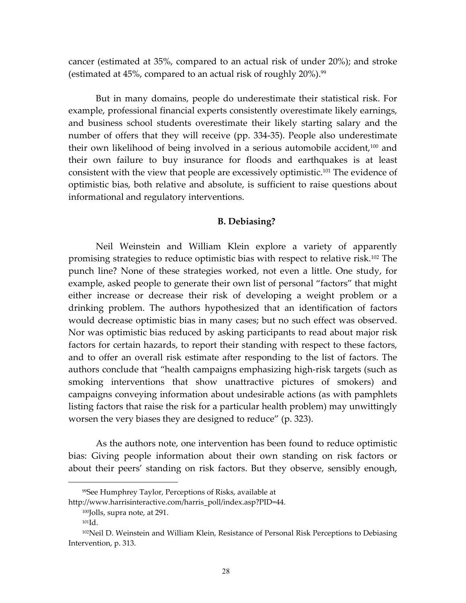cancer (estimated at 35%, compared to an actual risk of under 20%); and stroke (estimated at  $45\%$ , compared to an actual risk of roughly  $20\%$ ).<sup>[99](#page-29-0)</sup>

But in many domains, people do underestimate their statistical risk. For example, professional financial experts consistently overestimate likely earnings, and business school students overestimate their likely starting salary and the number of offers that they will receive (pp. 334-35). People also underestimate their own likelihood of being involved in a serious automobile accident,<sup>100</sup> and their own failure to buy insurance for floods and earthquakes is at least consistent with the view that people are excessively optimistic.[101 T](#page-29-2)he evidence of optimistic bias, both relative and absolute, is sufficient to raise questions about informational and regulatory interventions.

#### **B. Debiasing?**

Neil Weinstein and William Klein explore a variety of apparently promising strategies to reduce optimistic bias with respect to relative risk.[102 T](#page-29-3)he punch line? None of these strategies worked, not even a little. One study, for example, asked people to generate their own list of personal "factors" that might either increase or decrease their risk of developing a weight problem or a drinking problem. The authors hypothesized that an identification of factors would decrease optimistic bias in many cases; but no such effect was observed. Nor was optimistic bias reduced by asking participants to read about major risk factors for certain hazards, to report their standing with respect to these factors, and to offer an overall risk estimate after responding to the list of factors. The authors conclude that "health campaigns emphasizing high-risk targets (such as smoking interventions that show unattractive pictures of smokers) and campaigns conveying information about undesirable actions (as with pamphlets listing factors that raise the risk for a particular health problem) may unwittingly worsen the very biases they are designed to reduce" (p. 323).

As the authors note, one intervention has been found to reduce optimistic bias: Giving people information about their own standing on risk factors or about their peers' standing on risk factors. But they observe, sensibly enough,

<span id="page-29-0"></span><sup>99</sup>See Humphrey Taylor, Perceptions of Risks, available at

http://www.harrisinteractive.com/harris\_poll/index.asp?PID=44.

<span id="page-29-1"></span><sup>100</sup>Jolls, supra note, at 291.

<span id="page-29-3"></span><span id="page-29-2"></span><sup>101</sup>Id.

<sup>&</sup>lt;sup>102</sup>Neil D. Weinstein and William Klein, Resistance of Personal Risk Perceptions to Debiasing Intervention, p. 313.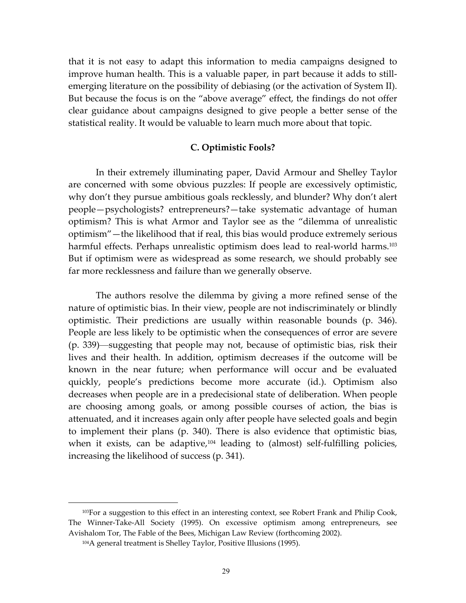that it is not easy to adapt this information to media campaigns designed to improve human health. This is a valuable paper, in part because it adds to stillemerging literature on the possibility of debiasing (or the activation of System II). But because the focus is on the "above average" effect, the findings do not offer clear guidance about campaigns designed to give people a better sense of the statistical reality. It would be valuable to learn much more about that topic.

#### **C. Optimistic Fools?**

In their extremely illuminating paper, David Armour and Shelley Taylor are concerned with some obvious puzzles: If people are excessively optimistic, why don't they pursue ambitious goals recklessly, and blunder? Why don't alert people—psychologists? entrepreneurs?—take systematic advantage of human optimism? This is what Armor and Taylor see as the "dilemma of unrealistic optimism"—the likelihood that if real, this bias would produce extremely serious harmful effects. Perhaps unrealistic optimism does lead to real-world harms.<sup>103</sup> But if optimism were as widespread as some research, we should probably see far more recklessness and failure than we generally observe.

The authors resolve the dilemma by giving a more refined sense of the nature of optimistic bias. In their view, people are not indiscriminately or blindly optimistic. Their predictions are usually within reasonable bounds (p. 346). People are less likely to be optimistic when the consequences of error are severe (p. 339)—suggesting that people may not, because of optimistic bias, risk their lives and their health. In addition, optimism decreases if the outcome will be known in the near future; when performance will occur and be evaluated quickly, people's predictions become more accurate (id.). Optimism also decreases when people are in a predecisional state of deliberation. When people are choosing among goals, or among possible courses of action, the bias is attenuated, and it increases again only after people have selected goals and begin to implement their plans (p. 340). There is also evidence that optimistic bias, when it exists, can be adaptive, $104$  leading to (almost) self-fulfilling policies, increasing the likelihood of success (p. 341).

<span id="page-30-0"></span><sup>&</sup>lt;sup>103</sup>For a suggestion to this effect in an interesting context, see Robert Frank and Philip Cook, The Winner-Take-All Society (1995). On excessive optimism among entrepreneurs, see Avishalom Tor, The Fable of the Bees, Michigan Law Review (forthcoming 2002).

<span id="page-30-1"></span><sup>104</sup>A general treatment is Shelley Taylor, Positive Illusions (1995).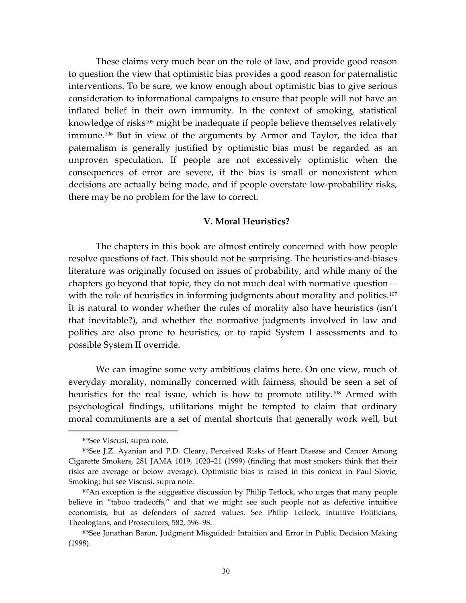These claims very much bear on the role of law, and provide good reason to question the view that optimistic bias provides a good reason for paternalistic interventions. To be sure, we know enough about optimistic bias to give serious consideration to informational campaigns to ensure that people will not have an inflated belief in their own immunity. In the context of smoking, statistical knowledge of risks<sup>105</sup> might be inadequate if people believe themselves relatively immune.[106](#page-31-1) But in view of the arguments by Armor and Taylor, the idea that paternalism is generally justified by optimistic bias must be regarded as an unproven speculation. If people are not excessively optimistic when the consequences of error are severe, if the bias is small or nonexistent when decisions are actually being made, and if people overstate low-probability risks, there may be no problem for the law to correct.

#### **V. Moral Heuristics?**

The chapters in this book are almost entirely concerned with how people resolve questions of fact. This should not be surprising. The heuristics-and-biases literature was originally focused on issues of probability, and while many of the chapters go beyond that topic, they do not much deal with normative question with the role of heuristics in informing judgments about morality and politics.<sup>107</sup> It is natural to wonder whether the rules of morality also have heuristics (isn't that inevitable?), and whether the normative judgments involved in law and politics are also prone to heuristics, or to rapid System I assessments and to possible System II override.

We can imagine some very ambitious claims here. On one view, much of everyday morality, nominally concerned with fairness, should be seen a set of heuristics for the real issue, which is how to promote utility.<sup>108</sup> Armed with psychological findings, utilitarians might be tempted to claim that ordinary moral commitments are a set of mental shortcuts that generally work well, but

<span id="page-31-1"></span><span id="page-31-0"></span><sup>105</sup>See Viscusi, supra note.

<sup>106</sup>See J.Z. Ayanian and P.D. Cleary, Perceived Risks of Heart Disease and Cancer Among Cigarette Smokers, 281 JAMA 1019, 1020–21 (1999) (finding that most smokers think that their risks are average or below average). Optimistic bias is raised in this context in Paul Slovic, Smoking; but see Viscusi, supra note.

<span id="page-31-2"></span><sup>&</sup>lt;sup>107</sup>An exception is the suggestive discussion by Philip Tetlock, who urges that many people believe in "taboo tradeoffs," and that we might see such people not as defective intuitive economists, but as defenders of sacred values. See Philip Tetlock, Intuitive Politicians, Theologians, and Prosecutors, 582, 596–98.

<span id="page-31-3"></span><sup>108</sup>See Jonathan Baron, Judgment Misguided: Intuition and Error in Public Decision Making (1998).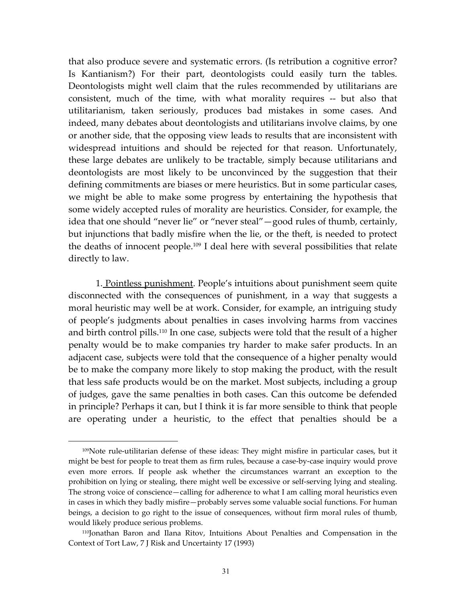that also produce severe and systematic errors. (Is retribution a cognitive error? Is Kantianism?) For their part, deontologists could easily turn the tables. Deontologists might well claim that the rules recommended by utilitarians are consistent, much of the time, with what morality requires -- but also that utilitarianism, taken seriously, produces bad mistakes in some cases. And indeed, many debates about deontologists and utilitarians involve claims, by one or another side, that the opposing view leads to results that are inconsistent with widespread intuitions and should be rejected for that reason. Unfortunately, these large debates are unlikely to be tractable, simply because utilitarians and deontologists are most likely to be unconvinced by the suggestion that their defining commitments are biases or mere heuristics. But in some particular cases, we might be able to make some progress by entertaining the hypothesis that some widely accepted rules of morality are heuristics. Consider, for example, the idea that one should "never lie" or "never steal"—good rules of thumb, certainly, but injunctions that badly misfire when the lie, or the theft, is needed to protect the deaths of innocent people.[109](#page-32-0) I deal here with several possibilities that relate directly to law.

1. Pointless punishment. People's intuitions about punishment seem quite disconnected with the consequences of punishment, in a way that suggests a moral heuristic may well be at work. Consider, for example, an intriguing study of people's judgments about penalties in cases involving harms from vaccines and birth control pills.<sup>110</sup> In one case, subjects were told that the result of a higher penalty would be to make companies try harder to make safer products. In an adjacent case, subjects were told that the consequence of a higher penalty would be to make the company more likely to stop making the product, with the result that less safe products would be on the market. Most subjects, including a group of judges, gave the same penalties in both cases. Can this outcome be defended in principle? Perhaps it can, but I think it is far more sensible to think that people are operating under a heuristic, to the effect that penalties should be a

<span id="page-32-0"></span><sup>109</sup>Note rule-utilitarian defense of these ideas: They might misfire in particular cases, but it might be best for people to treat them as firm rules, because a case-by-case inquiry would prove even more errors. If people ask whether the circumstances warrant an exception to the prohibition on lying or stealing, there might well be excessive or self-serving lying and stealing. The strong voice of conscience—calling for adherence to what I am calling moral heuristics even in cases in which they badly misfire—probably serves some valuable social functions. For human beings, a decision to go right to the issue of consequences, without firm moral rules of thumb, would likely produce serious problems.

<span id="page-32-1"></span><sup>110</sup>Jonathan Baron and Ilana Ritov, Intuitions About Penalties and Compensation in the Context of Tort Law, 7 J Risk and Uncertainty 17 (1993)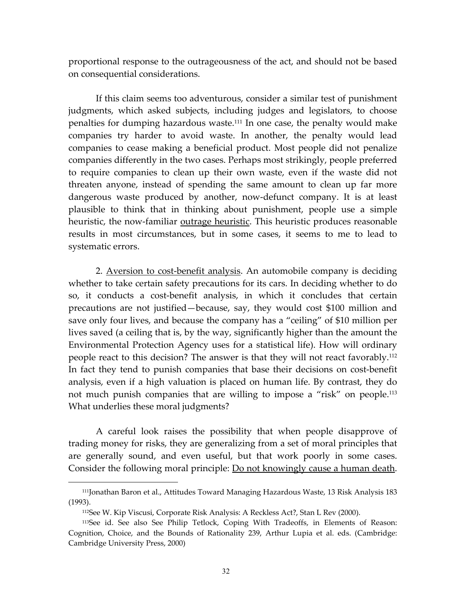proportional response to the outrageousness of the act, and should not be based on consequential considerations.

If this claim seems too adventurous, consider a similar test of punishment judgments, which asked subjects, including judges and legislators, to choose penalties for dumping hazardous waste[.111](#page-33-0) In one case, the penalty would make companies try harder to avoid waste. In another, the penalty would lead companies to cease making a beneficial product. Most people did not penalize companies differently in the two cases. Perhaps most strikingly, people preferred to require companies to clean up their own waste, even if the waste did not threaten anyone, instead of spending the same amount to clean up far more dangerous waste produced by another, now-defunct company. It is at least plausible to think that in thinking about punishment, people use a simple heuristic, the now-familiar outrage heuristic. This heuristic produces reasonable results in most circumstances, but in some cases, it seems to me to lead to systematic errors.

2. Aversion to cost-benefit analysis. An automobile company is deciding whether to take certain safety precautions for its cars. In deciding whether to do so, it conducts a cost-benefit analysis, in which it concludes that certain precautions are not justified—because, say, they would cost \$100 million and save only four lives, and because the company has a "ceiling" of \$10 million per lives saved (a ceiling that is, by the way, significantly higher than the amount the Environmental Protection Agency uses for a statistical life). How will ordinary people react to this decision? The answer is that they will not react favorably[.112](#page-33-1) In fact they tend to punish companies that base their decisions on cost-benefit analysis, even if a high valuation is placed on human life. By contrast, they do not much punish companies that are willing to impose a "risk" on people[.113](#page-33-2) What underlies these moral judgments?

A careful look raises the possibility that when people disapprove of trading money for risks, they are generalizing from a set of moral principles that are generally sound, and even useful, but that work poorly in some cases. Consider the following moral principle: Do not knowingly cause a human death.

<span id="page-33-0"></span><sup>111</sup>Jonathan Baron et al., Attitudes Toward Managing Hazardous Waste, 13 Risk Analysis 183 (1993).

<span id="page-33-2"></span><span id="page-33-1"></span><sup>112</sup>See W. Kip Viscusi, Corporate Risk Analysis: A Reckless Act?, Stan L Rev (2000).

<sup>113</sup>See id. See also See Philip Tetlock, Coping With Tradeoffs, in Elements of Reason: Cognition, Choice, and the Bounds of Rationality 239, Arthur Lupia et al. eds. (Cambridge: Cambridge University Press, 2000)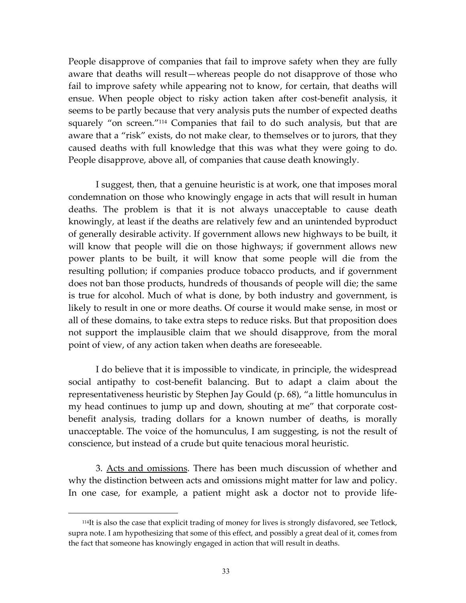People disapprove of companies that fail to improve safety when they are fully aware that deaths will result—whereas people do not disapprove of those who fail to improve safety while appearing not to know, for certain, that deaths will ensue. When people object to risky action taken after cost-benefit analysis, it seems to be partly because that very analysis puts the number of expected deaths squarely "on screen."<sup>114</sup> Companies that fail to do such analysis, but that are aware that a "risk" exists, do not make clear, to themselves or to jurors, that they caused deaths with full knowledge that this was what they were going to do. People disapprove, above all, of companies that cause death knowingly.

I suggest, then, that a genuine heuristic is at work, one that imposes moral condemnation on those who knowingly engage in acts that will result in human deaths. The problem is that it is not always unacceptable to cause death knowingly, at least if the deaths are relatively few and an unintended byproduct of generally desirable activity. If government allows new highways to be built, it will know that people will die on those highways; if government allows new power plants to be built, it will know that some people will die from the resulting pollution; if companies produce tobacco products, and if government does not ban those products, hundreds of thousands of people will die; the same is true for alcohol. Much of what is done, by both industry and government, is likely to result in one or more deaths. Of course it would make sense, in most or all of these domains, to take extra steps to reduce risks. But that proposition does not support the implausible claim that we should disapprove, from the moral point of view, of any action taken when deaths are foreseeable.

I do believe that it is impossible to vindicate, in principle, the widespread social antipathy to cost-benefit balancing. But to adapt a claim about the representativeness heuristic by Stephen Jay Gould (p. 68), "a little homunculus in my head continues to jump up and down, shouting at me" that corporate costbenefit analysis, trading dollars for a known number of deaths, is morally unacceptable. The voice of the homunculus, I am suggesting, is not the result of conscience, but instead of a crude but quite tenacious moral heuristic.

3. Acts and omissions. There has been much discussion of whether and why the distinction between acts and omissions might matter for law and policy. In one case, for example, a patient might ask a doctor not to provide life-

<span id="page-34-0"></span><sup>114</sup>It is also the case that explicit trading of money for lives is strongly disfavored, see Tetlock, supra note. I am hypothesizing that some of this effect, and possibly a great deal of it, comes from the fact that someone has knowingly engaged in action that will result in deaths.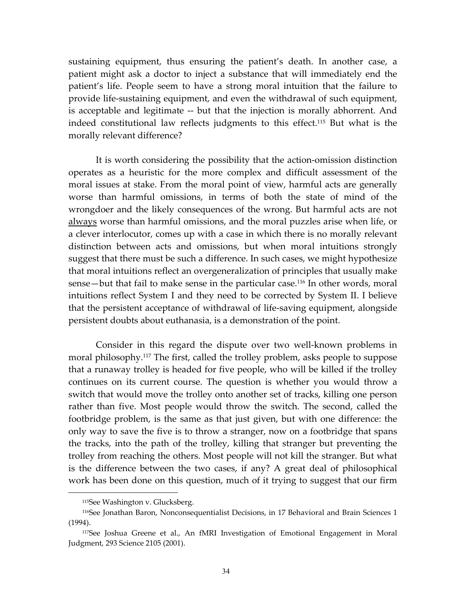sustaining equipment, thus ensuring the patient's death. In another case, a patient might ask a doctor to inject a substance that will immediately end the patient's life. People seem to have a strong moral intuition that the failure to provide life-sustaining equipment, and even the withdrawal of such equipment, is acceptable and legitimate -- but that the injection is morally abhorrent. And indeed constitutional law reflects judgments to this effect[.115](#page-35-0) But what is the morally relevant difference?

It is worth considering the possibility that the action-omission distinction operates as a heuristic for the more complex and difficult assessment of the moral issues at stake. From the moral point of view, harmful acts are generally worse than harmful omissions, in terms of both the state of mind of the wrongdoer and the likely consequences of the wrong. But harmful acts are not always worse than harmful omissions, and the moral puzzles arise when life, or a clever interlocutor, comes up with a case in which there is no morally relevant distinction between acts and omissions, but when moral intuitions strongly suggest that there must be such a difference. In such cases, we might hypothesize that moral intuitions reflect an overgeneralization of principles that usually make sense—but that fail to make sense in the particular case.[116](#page-35-1) In other words, moral intuitions reflect System I and they need to be corrected by System II. I believe that the persistent acceptance of withdrawal of life-saving equipment, alongside persistent doubts about euthanasia, is a demonstration of the point.

Consider in this regard the dispute over two well-known problems in moral philosophy.<sup>117</sup> The first, called the trolley problem, asks people to suppose that a runaway trolley is headed for five people, who will be killed if the trolley continues on its current course. The question is whether you would throw a switch that would move the trolley onto another set of tracks, killing one person rather than five. Most people would throw the switch. The second, called the footbridge problem, is the same as that just given, but with one difference: the only way to save the five is to throw a stranger, now on a footbridge that spans the tracks, into the path of the trolley, killing that stranger but preventing the trolley from reaching the others. Most people will not kill the stranger. But what is the difference between the two cases, if any? A great deal of philosophical work has been done on this question, much of it trying to suggest that our firm

<span id="page-35-1"></span><span id="page-35-0"></span><sup>115</sup>See Washington v. Glucksberg.

<sup>116</sup>See Jonathan Baron, Nonconsequentialist Decisions, in 17 Behavioral and Brain Sciences 1 (1994).

<span id="page-35-2"></span><sup>117</sup>See Joshua Greene et al., An fMRI Investigation of Emotional Engagement in Moral Judgment, 293 Science 2105 (2001).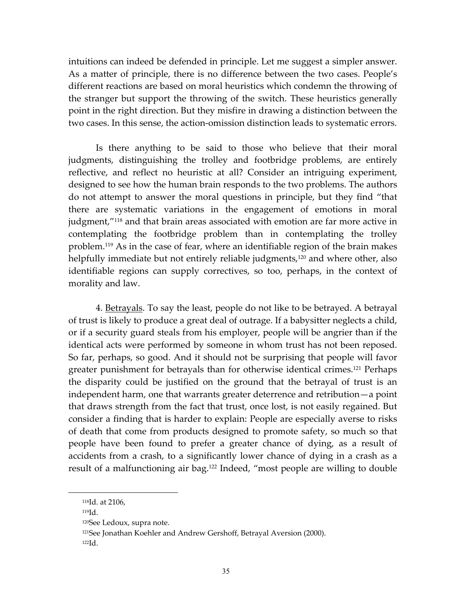intuitions can indeed be defended in principle. Let me suggest a simpler answer. As a matter of principle, there is no difference between the two cases. People's different reactions are based on moral heuristics which condemn the throwing of the stranger but support the throwing of the switch. These heuristics generally point in the right direction. But they misfire in drawing a distinction between the two cases. In this sense, the action-omission distinction leads to systematic errors.

Is there anything to be said to those who believe that their moral judgments, distinguishing the trolley and footbridge problems, are entirely reflective, and reflect no heuristic at all? Consider an intriguing experiment, designed to see how the human brain responds to the two problems. The authors do not attempt to answer the moral questions in principle, but they find "that there are systematic variations in the engagement of emotions in moral judgment,"<sup>118</sup> and that brain areas associated with emotion are far more active in contemplating the footbridge problem than in contemplating the trolley problem[.119](#page-36-1) As in the case of fear, where an identifiable region of the brain makes helpfully immediate but not entirely reliable judgments,<sup>120</sup> and where other, also identifiable regions can supply correctives, so too, perhaps, in the context of morality and law.

4. Betrayals. To say the least, people do not like to be betrayed. A betrayal of trust is likely to produce a great deal of outrage. If a babysitter neglects a child, or if a security guard steals from his employer, people will be angrier than if the identical acts were performed by someone in whom trust has not been reposed. So far, perhaps, so good. And it should not be surprising that people will favor greater punishment for betrayals than for otherwise identical crimes.<sup>121</sup> Perhaps the disparity could be justified on the ground that the betrayal of trust is an independent harm, one that warrants greater deterrence and retribution—a point that draws strength from the fact that trust, once lost, is not easily regained. But consider a finding that is harder to explain: People are especially averse to risks of death that come from products designed to promote safety, so much so that people have been found to prefer a greater chance of dying, as a result of accidents from a crash, to a significantly lower chance of dying in a crash as a result of a malfunctioning air bag.[122](#page-36-4) Indeed, "most people are willing to double

<span id="page-36-0"></span><sup>118</sup>Id. at 2106,

<span id="page-36-1"></span><sup>119</sup>Id.

<span id="page-36-2"></span><sup>120</sup>See Ledoux, supra note.

<span id="page-36-3"></span><sup>&</sup>lt;sup>121</sup>See Jonathan Koehler and Andrew Gershoff, Betrayal Aversion (2000).

<span id="page-36-4"></span> $122$ Id.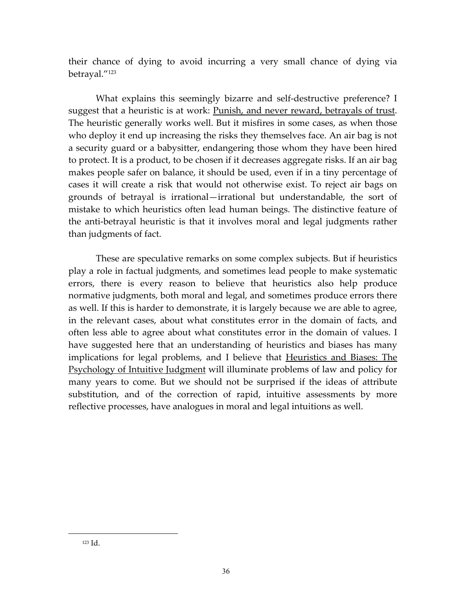their chance of dying to avoid incurring a very small chance of dying via betrayal."[123](#page-37-0)

What explains this seemingly bizarre and self-destructive preference? I suggest that a heuristic is at work: Punish, and never reward, betrayals of trust. The heuristic generally works well. But it misfires in some cases, as when those who deploy it end up increasing the risks they themselves face. An air bag is not a security guard or a babysitter, endangering those whom they have been hired to protect. It is a product, to be chosen if it decreases aggregate risks. If an air bag makes people safer on balance, it should be used, even if in a tiny percentage of cases it will create a risk that would not otherwise exist. To reject air bags on grounds of betrayal is irrational—irrational but understandable, the sort of mistake to which heuristics often lead human beings. The distinctive feature of the anti-betrayal heuristic is that it involves moral and legal judgments rather than judgments of fact.

<span id="page-37-0"></span>These are speculative remarks on some complex subjects. But if heuristics play a role in factual judgments, and sometimes lead people to make systematic errors, there is every reason to believe that heuristics also help produce normative judgments, both moral and legal, and sometimes produce errors there as well. If this is harder to demonstrate, it is largely because we are able to agree, in the relevant cases, about what constitutes error in the domain of facts, and often less able to agree about what constitutes error in the domain of values. I have suggested here that an understanding of heuristics and biases has many implications for legal problems, and I believe that Heuristics and Biases: The Psychology of Intuitive Judgment will illuminate problems of law and policy for many years to come. But we should not be surprised if the ideas of attribute substitution, and of the correction of rapid, intuitive assessments by more reflective processes, have analogues in moral and legal intuitions as well.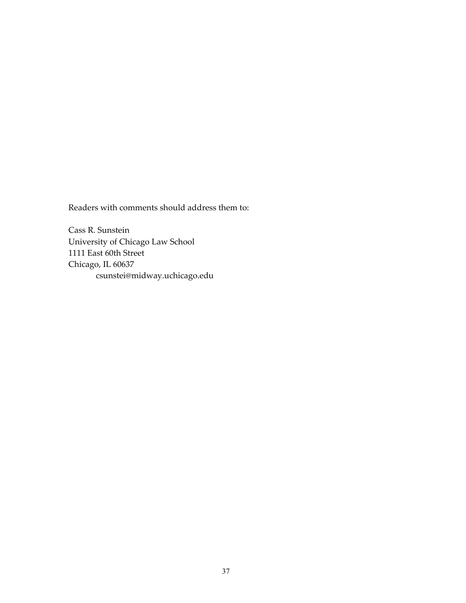Readers with comments should address them to:

Cass R. Sunstein University of Chicago Law School 1111 East 60th Street Chicago, IL 60637 csunstei@midway.uchicago.edu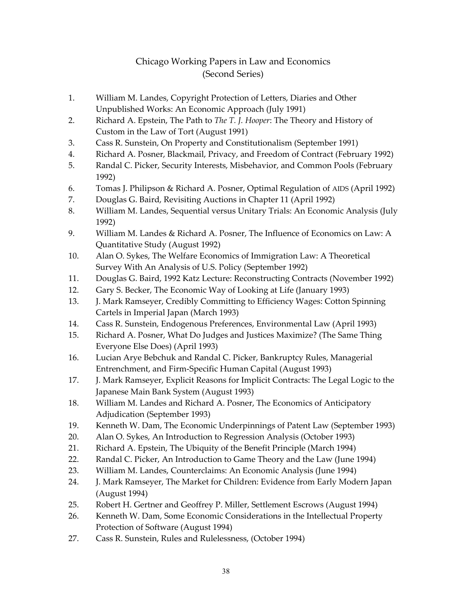## Chicago Working Papers in Law and Economics (Second Series)

- 1. William M. Landes, Copyright Protection of Letters, Diaries and Other Unpublished Works: An Economic Approach (July 1991)
- 2. Richard A. Epstein, The Path to *The T. J. Hooper*: The Theory and History of Custom in the Law of Tort (August 1991)
- 3. Cass R. Sunstein, On Property and Constitutionalism (September 1991)
- 4. Richard A. Posner, Blackmail, Privacy, and Freedom of Contract (February 1992)
- 5. Randal C. Picker, Security Interests, Misbehavior, and Common Pools (February 1992)
- 6. Tomas J. Philipson & Richard A. Posner, Optimal Regulation of AIDS (April 1992)
- 7. Douglas G. Baird, Revisiting Auctions in Chapter 11 (April 1992)
- 8. William M. Landes, Sequential versus Unitary Trials: An Economic Analysis (July 1992)
- 9. William M. Landes & Richard A. Posner, The Influence of Economics on Law: A Quantitative Study (August 1992)
- 10. Alan O. Sykes, The Welfare Economics of Immigration Law: A Theoretical Survey With An Analysis of U.S. Policy (September 1992)
- 11. Douglas G. Baird, 1992 Katz Lecture: Reconstructing Contracts (November 1992)
- 12. Gary S. Becker, The Economic Way of Looking at Life (January 1993)
- 13. J. Mark Ramseyer, Credibly Committing to Efficiency Wages: Cotton Spinning Cartels in Imperial Japan (March 1993)
- 14. Cass R. Sunstein, Endogenous Preferences, Environmental Law (April 1993)
- 15. Richard A. Posner, What Do Judges and Justices Maximize? (The Same Thing Everyone Else Does) (April 1993)
- 16. Lucian Arye Bebchuk and Randal C. Picker, Bankruptcy Rules, Managerial Entrenchment, and Firm-Specific Human Capital (August 1993)
- 17. J. Mark Ramseyer, Explicit Reasons for Implicit Contracts: The Legal Logic to the Japanese Main Bank System (August 1993)
- 18. William M. Landes and Richard A. Posner, The Economics of Anticipatory Adjudication (September 1993)
- 19. Kenneth W. Dam, The Economic Underpinnings of Patent Law (September 1993)
- 20. Alan O. Sykes, An Introduction to Regression Analysis (October 1993)
- 21. Richard A. Epstein, The Ubiquity of the Benefit Principle (March 1994)
- 22. Randal C. Picker, An Introduction to Game Theory and the Law (June 1994)
- 23. William M. Landes, Counterclaims: An Economic Analysis (June 1994)
- 24. J. Mark Ramseyer, The Market for Children: Evidence from Early Modern Japan (August 1994)
- 25. Robert H. Gertner and Geoffrey P. Miller, Settlement Escrows (August 1994)
- 26. Kenneth W. Dam, Some Economic Considerations in the Intellectual Property Protection of Software (August 1994)
- 27. Cass R. Sunstein, Rules and Rulelessness, (October 1994)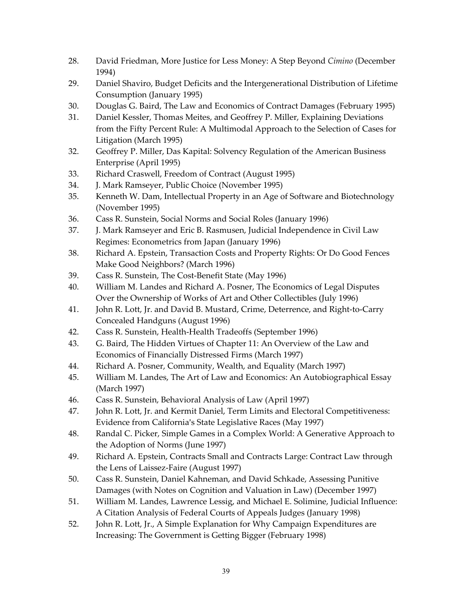- 28. David Friedman, More Justice for Less Money: A Step Beyond *Cimino* (December 1994)
- 29. Daniel Shaviro, Budget Deficits and the Intergenerational Distribution of Lifetime Consumption (January 1995)
- 30. Douglas G. Baird, The Law and Economics of Contract Damages (February 1995)
- 31. Daniel Kessler, Thomas Meites, and Geoffrey P. Miller, Explaining Deviations from the Fifty Percent Rule: A Multimodal Approach to the Selection of Cases for Litigation (March 1995)
- 32. Geoffrey P. Miller, Das Kapital: Solvency Regulation of the American Business Enterprise (April 1995)
- 33. Richard Craswell, Freedom of Contract (August 1995)
- 34. J. Mark Ramseyer, Public Choice (November 1995)
- 35. Kenneth W. Dam, Intellectual Property in an Age of Software and Biotechnology (November 1995)
- 36. Cass R. Sunstein, Social Norms and Social Roles (January 1996)
- 37. J. Mark Ramseyer and Eric B. Rasmusen, Judicial Independence in Civil Law Regimes: Econometrics from Japan (January 1996)
- 38. Richard A. Epstein, Transaction Costs and Property Rights: Or Do Good Fences Make Good Neighbors? (March 1996)
- 39. Cass R. Sunstein, The Cost-Benefit State (May 1996)
- 40. William M. Landes and Richard A. Posner, The Economics of Legal Disputes Over the Ownership of Works of Art and Other Collectibles (July 1996)
- 41. John R. Lott, Jr. and David B. Mustard, Crime, Deterrence, and Right-to-Carry Concealed Handguns (August 1996)
- 42. Cass R. Sunstein, Health-Health Tradeoffs (September 1996)
- 43. G. Baird, The Hidden Virtues of Chapter 11: An Overview of the Law and Economics of Financially Distressed Firms (March 1997)
- 44. Richard A. Posner, Community, Wealth, and Equality (March 1997)
- 45. William M. Landes, The Art of Law and Economics: An Autobiographical Essay (March 1997)
- 46. Cass R. Sunstein, Behavioral Analysis of Law (April 1997)
- 47. John R. Lott, Jr. and Kermit Daniel, Term Limits and Electoral Competitiveness: Evidence from California's State Legislative Races (May 1997)
- 48. Randal C. Picker, Simple Games in a Complex World: A Generative Approach to the Adoption of Norms (June 1997)
- 49. Richard A. Epstein, Contracts Small and Contracts Large: Contract Law through the Lens of Laissez-Faire (August 1997)
- 50. Cass R. Sunstein, Daniel Kahneman, and David Schkade, Assessing Punitive Damages (with Notes on Cognition and Valuation in Law) (December 1997)
- 51. William M. Landes, Lawrence Lessig, and Michael E. Solimine, Judicial Influence: A Citation Analysis of Federal Courts of Appeals Judges (January 1998)
- 52. John R. Lott, Jr., A Simple Explanation for Why Campaign Expenditures are Increasing: The Government is Getting Bigger (February 1998)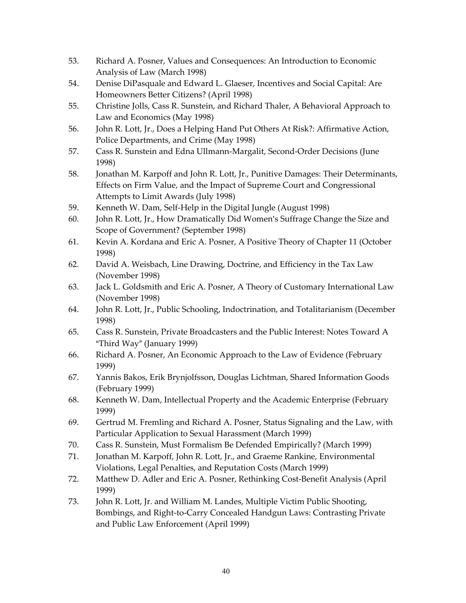- 53. Richard A. Posner, Values and Consequences: An Introduction to Economic Analysis of Law (March 1998)
- 54. Denise DiPasquale and Edward L. Glaeser, Incentives and Social Capital: Are Homeowners Better Citizens? (April 1998)
- 55. Christine Jolls, Cass R. Sunstein, and Richard Thaler, A Behavioral Approach to Law and Economics (May 1998)
- 56. John R. Lott, Jr., Does a Helping Hand Put Others At Risk?: Affirmative Action, Police Departments, and Crime (May 1998)
- 57. Cass R. Sunstein and Edna Ullmann-Margalit, Second-Order Decisions (June 1998)
- 58. Jonathan M. Karpoff and John R. Lott, Jr., Punitive Damages: Their Determinants, Effects on Firm Value, and the Impact of Supreme Court and Congressional Attempts to Limit Awards (July 1998)
- 59. Kenneth W. Dam, Self-Help in the Digital Jungle (August 1998)
- 60. John R. Lott, Jr., How Dramatically Did Women's Suffrage Change the Size and Scope of Government? (September 1998)
- 61. Kevin A. Kordana and Eric A. Posner, A Positive Theory of Chapter 11 (October 1998)
- 62. David A. Weisbach, Line Drawing, Doctrine, and Efficiency in the Tax Law (November 1998)
- 63. Jack L. Goldsmith and Eric A. Posner, A Theory of Customary International Law (November 1998)
- 64. John R. Lott, Jr., Public Schooling, Indoctrination, and Totalitarianism (December 1998)
- 65. Cass R. Sunstein, Private Broadcasters and the Public Interest: Notes Toward A "Third Way" (January 1999)
- 66. Richard A. Posner, An Economic Approach to the Law of Evidence (February 1999)
- 67. Yannis Bakos, Erik Brynjolfsson, Douglas Lichtman, Shared Information Goods (February 1999)
- 68. Kenneth W. Dam, Intellectual Property and the Academic Enterprise (February 1999)
- 69. Gertrud M. Fremling and Richard A. Posner, Status Signaling and the Law, with Particular Application to Sexual Harassment (March 1999)
- 70. Cass R. Sunstein, Must Formalism Be Defended Empirically? (March 1999)
- 71. Jonathan M. Karpoff, John R. Lott, Jr., and Graeme Rankine, Environmental Violations, Legal Penalties, and Reputation Costs (March 1999)
- 72. Matthew D. Adler and Eric A. Posner, Rethinking Cost-Benefit Analysis (April 1999)
- 73. John R. Lott, Jr. and William M. Landes, Multiple Victim Public Shooting, Bombings, and Right-to-Carry Concealed Handgun Laws: Contrasting Private and Public Law Enforcement (April 1999)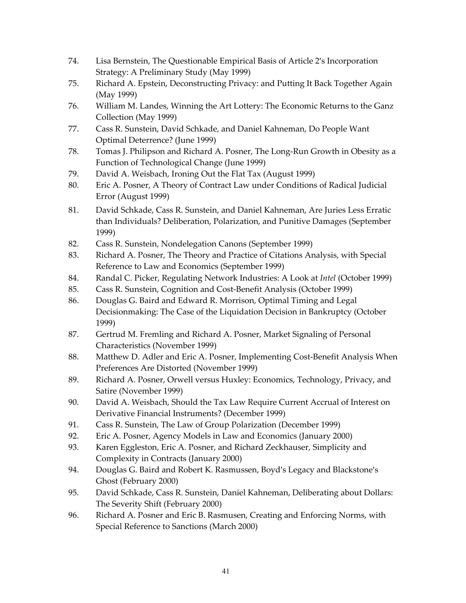- 74. Lisa Bernstein, The Questionable Empirical Basis of Article 2's Incorporation Strategy: A Preliminary Study (May 1999)
- 75. Richard A. Epstein, Deconstructing Privacy: and Putting It Back Together Again (May 1999)
- 76. William M. Landes, Winning the Art Lottery: The Economic Returns to the Ganz Collection (May 1999)
- 77. Cass R. Sunstein, David Schkade, and Daniel Kahneman, Do People Want Optimal Deterrence? (June 1999)
- 78. Tomas J. Philipson and Richard A. Posner, The Long-Run Growth in Obesity as a Function of Technological Change (June 1999)
- 79. David A. Weisbach, Ironing Out the Flat Tax (August 1999)
- 80. Eric A. Posner, A Theory of Contract Law under Conditions of Radical Judicial Error (August 1999)
- 81. David Schkade, Cass R. Sunstein, and Daniel Kahneman, Are Juries Less Erratic than Individuals? Deliberation, Polarization, and Punitive Damages (September 1999)
- 82. Cass R. Sunstein, Nondelegation Canons (September 1999)
- 83. Richard A. Posner, The Theory and Practice of Citations Analysis, with Special Reference to Law and Economics (September 1999)
- 84. Randal C. Picker, Regulating Network Industries: A Look at *Intel* (October 1999)
- 85. Cass R. Sunstein, Cognition and Cost-Benefit Analysis (October 1999)
- 86. Douglas G. Baird and Edward R. Morrison, Optimal Timing and Legal Decisionmaking: The Case of the Liquidation Decision in Bankruptcy (October 1999)
- 87. Gertrud M. Fremling and Richard A. Posner, Market Signaling of Personal Characteristics (November 1999)
- 88. Matthew D. Adler and Eric A. Posner, Implementing Cost-Benefit Analysis When Preferences Are Distorted (November 1999)
- 89. Richard A. Posner, Orwell versus Huxley: Economics, Technology, Privacy, and Satire (November 1999)
- 90. David A. Weisbach, Should the Tax Law Require Current Accrual of Interest on Derivative Financial Instruments? (December 1999)
- 91. Cass R. Sunstein, The Law of Group Polarization (December 1999)
- 92. Eric A. Posner, Agency Models in Law and Economics (January 2000)
- 93. Karen Eggleston, Eric A. Posner, and Richard Zeckhauser, Simplicity and Complexity in Contracts (January 2000)
- 94. Douglas G. Baird and Robert K. Rasmussen, Boyd's Legacy and Blackstone's Ghost (February 2000)
- 95. David Schkade, Cass R. Sunstein, Daniel Kahneman, Deliberating about Dollars: The Severity Shift (February 2000)
- 96. Richard A. Posner and Eric B. Rasmusen, Creating and Enforcing Norms, with Special Reference to Sanctions (March 2000)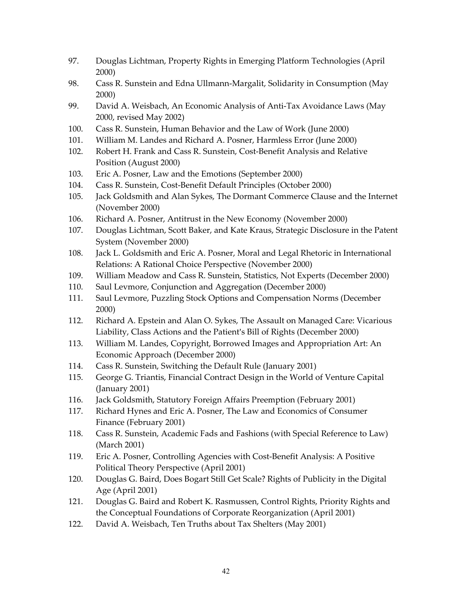- 97. Douglas Lichtman, Property Rights in Emerging Platform Technologies (April 2000)
- 98. Cass R. Sunstein and Edna Ullmann-Margalit, Solidarity in Consumption (May 2000)
- 99. David A. Weisbach, An Economic Analysis of Anti-Tax Avoidance Laws (May 2000, revised May 2002)
- 100. Cass R. Sunstein, Human Behavior and the Law of Work (June 2000)
- 101. William M. Landes and Richard A. Posner, Harmless Error (June 2000)
- 102. Robert H. Frank and Cass R. Sunstein, Cost-Benefit Analysis and Relative Position (August 2000)
- 103. Eric A. Posner, Law and the Emotions (September 2000)
- 104. Cass R. Sunstein, Cost-Benefit Default Principles (October 2000)
- 105. Jack Goldsmith and Alan Sykes, The Dormant Commerce Clause and the Internet (November 2000)
- 106. Richard A. Posner, Antitrust in the New Economy (November 2000)
- 107. Douglas Lichtman, Scott Baker, and Kate Kraus, Strategic Disclosure in the Patent System (November 2000)
- 108. Jack L. Goldsmith and Eric A. Posner, Moral and Legal Rhetoric in International Relations: A Rational Choice Perspective (November 2000)
- 109. William Meadow and Cass R. Sunstein, Statistics, Not Experts (December 2000)
- 110. Saul Levmore, Conjunction and Aggregation (December 2000)
- 111. Saul Levmore, Puzzling Stock Options and Compensation Norms (December 2000)
- 112. Richard A. Epstein and Alan O. Sykes, The Assault on Managed Care: Vicarious Liability, Class Actions and the Patient's Bill of Rights (December 2000)
- 113. William M. Landes, Copyright, Borrowed Images and Appropriation Art: An Economic Approach (December 2000)
- 114. Cass R. Sunstein, Switching the Default Rule (January 2001)
- 115. George G. Triantis, Financial Contract Design in the World of Venture Capital (January 2001)
- 116. Jack Goldsmith, Statutory Foreign Affairs Preemption (February 2001)
- 117. Richard Hynes and Eric A. Posner, The Law and Economics of Consumer Finance (February 2001)
- 118. Cass R. Sunstein, Academic Fads and Fashions (with Special Reference to Law) (March 2001)
- 119. Eric A. Posner, Controlling Agencies with Cost-Benefit Analysis: A Positive Political Theory Perspective (April 2001)
- 120. Douglas G. Baird, Does Bogart Still Get Scale? Rights of Publicity in the Digital Age (April 2001)
- 121. Douglas G. Baird and Robert K. Rasmussen, Control Rights, Priority Rights and the Conceptual Foundations of Corporate Reorganization (April 2001)
- 122. David A. Weisbach, Ten Truths about Tax Shelters (May 2001)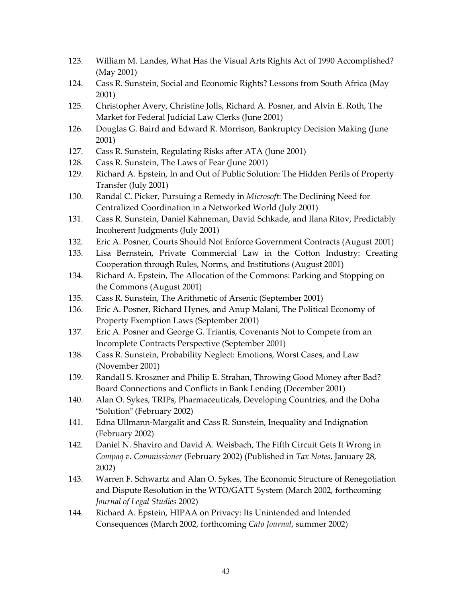- 123. William M. Landes, What Has the Visual Arts Rights Act of 1990 Accomplished? (May 2001)
- 124. Cass R. Sunstein, Social and Economic Rights? Lessons from South Africa (May 2001)
- 125. Christopher Avery, Christine Jolls, Richard A. Posner, and Alvin E. Roth, The Market for Federal Judicial Law Clerks (June 2001)
- 126. Douglas G. Baird and Edward R. Morrison, Bankruptcy Decision Making (June 2001)
- 127. Cass R. Sunstein, Regulating Risks after ATA (June 2001)
- 128. Cass R. Sunstein, The Laws of Fear (June 2001)
- 129. Richard A. Epstein, In and Out of Public Solution: The Hidden Perils of Property Transfer (July 2001)
- 130. Randal C. Picker, Pursuing a Remedy in *Microsoft*: The Declining Need for Centralized Coordination in a Networked World (July 2001)
- 131. Cass R. Sunstein, Daniel Kahneman, David Schkade, and Ilana Ritov, Predictably Incoherent Judgments (July 2001)
- 132. Eric A. Posner, Courts Should Not Enforce Government Contracts (August 2001)
- 133. Lisa Bernstein, Private Commercial Law in the Cotton Industry: Creating Cooperation through Rules, Norms, and Institutions (August 2001)
- 134. Richard A. Epstein, The Allocation of the Commons: Parking and Stopping on the Commons (August 2001)
- 135. Cass R. Sunstein, The Arithmetic of Arsenic (September 2001)
- 136. Eric A. Posner, Richard Hynes, and Anup Malani, The Political Economy of Property Exemption Laws (September 2001)
- 137. Eric A. Posner and George G. Triantis, Covenants Not to Compete from an Incomplete Contracts Perspective (September 2001)
- 138. Cass R. Sunstein, Probability Neglect: Emotions, Worst Cases, and Law (November 2001)
- 139. Randall S. Kroszner and Philip E. Strahan, Throwing Good Money after Bad? Board Connections and Conflicts in Bank Lending (December 2001)
- 140. Alan O. Sykes, TRIPs, Pharmaceuticals, Developing Countries, and the Doha "Solution" (February 2002)
- 141. Edna Ullmann-Margalit and Cass R. Sunstein, Inequality and Indignation (February 2002)
- 142. Daniel N. Shaviro and David A. Weisbach, The Fifth Circuit Gets It Wrong in *Compaq v. Commissioner* (February 2002) (Published in *Tax Notes*, January 28, 2002)
- 143. Warren F. Schwartz and Alan O. Sykes, The Economic Structure of Renegotiation and Dispute Resolution in the WTO/GATT System (March 2002, forthcoming *Journal of Legal Studies* 2002)
- 144. Richard A. Epstein, HIPAA on Privacy: Its Unintended and Intended Consequences (March 2002, forthcoming *Cato Journal*, summer 2002)